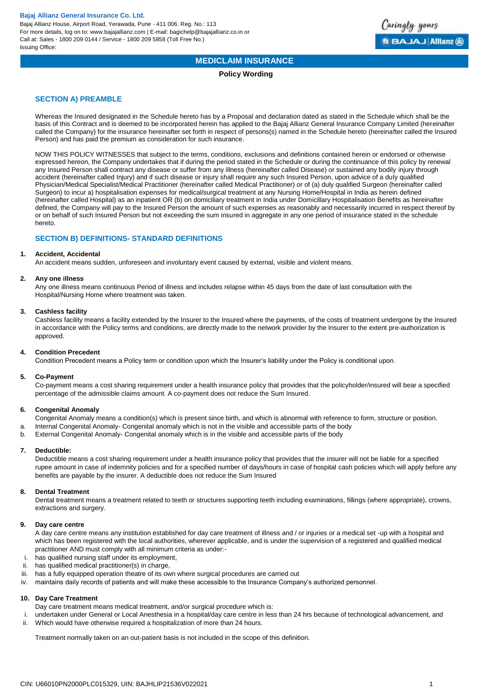

# **MEDICLAIM INSURANCE**

## **Policy Wording**

## **SECTION A) PREAMBLE**

Whereas the Insured designated in the Schedule hereto has by a Proposal and declaration dated as stated in the Schedule which shall be the basis of this Contract and is deemed to be incorporated herein has applied to the Bajaj Allianz General Insurance Company Limited (hereinafter called the Company) for the insurance hereinafter set forth in respect of persons(s) named in the Schedule hereto (hereinafter called the Insured Person) and has paid the premium as consideration for such insurance.

NOW THIS POLICY WITNESSES that subject to the terms, conditions, exclusions and definitions contained herein or endorsed or otherwise expressed hereon, the Company undertakes that if during the period stated in the Schedule or during the continuance of this policy by renewal any Insured Person shall contract any disease or suffer from any illness (hereinafter called Disease) or sustained any bodily injury through accident (hereinafter called Injury) and if such disease or injury shall require any such Insured Person, upon advice of a duly qualified Physician/Medical Specialist/Medical Practitioner (hereinafter called Medical Practitioner) or of (a) duly qualified Surgeon (hereinafter called Surgeon) to incur a) hospitalisation expenses for medical/surgical treatment at any Nursing Home/Hospital in India as herein defined (hereinafter called Hospital) as an inpatient OR (b) on domiciliary treatment in India under Domicillary Hospitalisation Benefits as hereinafter defined, the Company will pay to the Insured Person the amount of such expenses as reasonably and necessarily incurred in respect thereof by or on behalf of such Insured Person but not exceeding the sum insured in aggregate in any one period of insurance stated in the schedule hereto.

## **SECTION B) DEFINITIONS- STANDARD DEFINITIONS**

#### **1. Accident, Accidental**

An accident means sudden, unforeseen and involuntary event caused by external, visible and violent means.

#### **2. Any one illness**

Any one illness means continuous Period of illness and includes relapse within 45 days from the date of last consultation with the Hospital/Nursing Home where treatment was taken.

## **3. Cashless facility**

Cashless facility means a facility extended by the Insurer to the Insured where the payments, of the costs of treatment undergone by the Insured in accordance with the Policy terms and conditions, are directly made to the network provider by the Insurer to the extent pre-authorization is approved.

## **4. Condition Precedent**

Condition Precedent means a Policy term or condition upon which the Insurer's liability under the Policy is conditional upon.

#### **5. Co-Payment**

Co-payment means a cost sharing requirement under a health insurance policy that provides that the policyholder/insured will bear a specified percentage of the admissible claims amount. A co-payment does not reduce the Sum Insured.

## **6. Congenital Anomaly**

Congenital Anomaly means a condition(s) which is present since birth, and which is abnormal with reference to form, structure or position.

- a. Internal Congenital Anomaly- Congenital anomaly which is not in the visible and accessible parts of the body
- b. External Congenital Anomaly- Congenital anomaly which is in the visible and accessible parts of the body

## **7. Deductible:**

Deductible means a cost sharing requirement under a health insurance policy that provides that the insurer will not be liable for a specified rupee amount in case of indemnity policies and for a specified number of days/hours in case of hospital cash policies which will apply before any benefits are payable by the insurer. A deductible does not reduce the Sum Insured

#### **8. Dental Treatment**

Dental treatment means a treatment related to teeth or structures supporting teeth including examinations, fillings (where appropriate), crowns, extractions and surgery.

#### **9. Day care centre**

A day care centre means any institution established for day care treatment of illness and / or injuries or a medical set -up with a hospital and which has been registered with the local authorities, wherever applicable, and is under the supervision of a registered and qualified medical practitioner AND must comply with all minimum criteria as under:-

- i. has qualified nursing staff under its employment,
- ii. has qualified medical practitioner(s) in charge,
- iii. has a fully equipped operation theatre of its own where surgical procedures are carried out
- iv. maintains daily records of patients and will make these accessible to the Insurance Company's authorized personnel.

## **10. Day Care Treatment**

Day care treatment means medical treatment, and/or surgical procedure which is:

i. undertaken under General or Local Anesthesia in a hospital/day care centre in less than 24 hrs because of technological advancement, and ii. Which would have otherwise required a hospitalization of more than 24 hours.

Treatment normally taken on an out-patient basis is not included in the scope of this definition.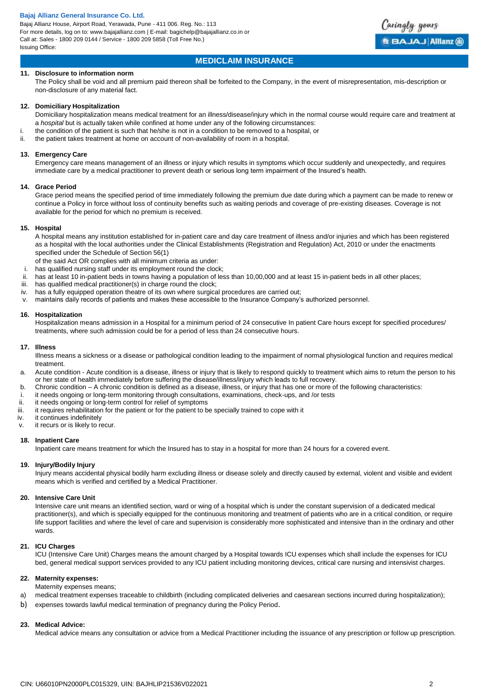Bajaj Allianz House, Airport Road, Yerawada, Pune - 411 006. Reg. No.: 113 For more details, log on to: www.bajajallianz.com | E-mail: bagichelp@bajajallianz.co.in or Call at: Sales - 1800 209 0144 / Service - 1800 209 5858 (Toll Free No.) Issuing Office:



## **MEDICLAIM INSURANCE**

## **11. Disclosure to information norm**

The Policy shall be void and all premium paid thereon shall be forfeited to the Company, in the event of misrepresentation, mis-description or non-disclosure of any material fact.

#### **12. Domiciliary Hospitalization**

Domiciliary hospitalization means medical treatment for an illness/disease/injury which in the normal course would require care and treatment at a *hospital* but is actually taken while confined at home under any of the following circumstances:

- i. the condition of the patient is such that he/she is not in a condition to be removed to a hospital, or
- ii. the patient takes treatment at home on account of non-availability of room in a hospital.

#### **13. Emergency Care**

Emergency care means management of an illness or injury which results in symptoms which occur suddenly and unexpectedly, and requires immediate care by a medical practitioner to prevent death or serious long term impairment of the Insured's health.

#### **14. Grace Period**

Grace period means the specified period of time immediately following the premium due date during which a payment can be made to renew or continue a Policy in force without loss of continuity benefits such as waiting periods and coverage of pre-existing diseases. Coverage is not available for the period for which no premium is received.

#### **15. Hospital**

A hospital means any institution established for in-patient care and day care treatment of illness and/or injuries and which has been registered as a hospital with the local authorities under the Clinical Establishments (Registration and Regulation) Act, 2010 or under the enactments specified under the Schedule of Section 56(1)

- of the said Act OR complies with all minimum criteria as under:
- i. has qualified nursing staff under its employment round the clock;
- ii. has at least 10 in-patient beds in towns having a population of less than 10,00,000 and at least 15 in-patient beds in all other places;
- iii. has qualified medical practitioner(s) in charge round the clock;
- iv. has a fully equipped operation theatre of its own where surgical procedures are carried out;
- v. maintains daily records of patients and makes these accessible to the Insurance Company's authorized personnel.

#### **16. Hospitalization**

Hospitalization means admission in a Hospital for a minimum period of 24 consecutive In patient Care hours except for specified procedures/ treatments, where such admission could be for a period of less than 24 consecutive hours.

#### **17. Illness**

Illness means a sickness or a disease or pathological condition leading to the impairment of normal physiological function and requires medical treatment.

- a. Acute condition Acute condition is a disease, illness or injury that is likely to respond quickly to treatment which aims to return the person to his or her state of health immediately before suffering the disease/illness/injury which leads to full recovery.
- b. Chronic condition A chronic condition is defined as a disease, illness, or injury that has one or more of the following characteristics:
- i. it needs ongoing or long-term monitoring through consultations, examinations, check-ups, and /or tests
- 
- ii. it needs ongoing or long-term control for relief of symptoms<br>iii. it requires rehabilitation for the patient or for the patient to b it requires rehabilitation for the patient or for the patient to be specially trained to cope with it
- iv. it continues indefinitely
- v. it recurs or is likely to recur.

## **18. Inpatient Care**

Inpatient care means treatment for which the Insured has to stay in a hospital for more than 24 hours for a covered event.

## **19. Injury/Bodily Injury**

Injury means accidental physical bodily harm excluding illness or disease solely and directly caused by external, violent and visible and evident means which is verified and certified by a Medical Practitioner.

## **20. Intensive Care Unit**

Intensive care unit means an identified section, ward or wing of a hospital which is under the constant supervision of a dedicated medical practitioner(s), and which is specially equipped for the continuous monitoring and treatment of patients who are in a critical condition, or require life support facilities and where the level of care and supervision is considerably more sophisticated and intensive than in the ordinary and other wards.

## **21. ICU Charges**

ICU (Intensive Care Unit) Charges means the amount charged by a Hospital towards ICU expenses which shall include the expenses for ICU bed, general medical support services provided to any ICU patient including monitoring devices, critical care nursing and intensivist charges.

#### **22. Maternity expenses:**

Maternity expenses means:

- a) medical treatment expenses traceable to childbirth (including complicated deliveries and caesarean sections incurred during hospitalization);
- b) expenses towards lawful medical termination of pregnancy during the Policy Period.

## **23. Medical Advice:**

Medical advice means any consultation or advice from a Medical Practitioner including the issuance of any prescription or follow up prescription.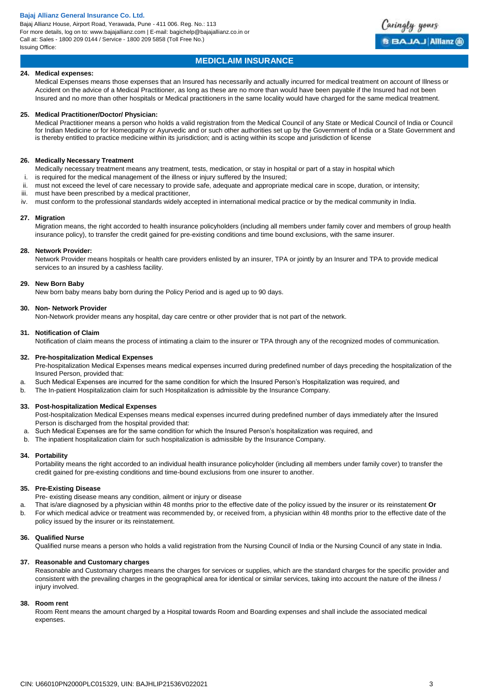Bajaj Allianz House, Airport Road, Yerawada, Pune - 411 006. Reg. No.: 113 For more details, log on to: www.bajajallianz.com | E-mail: bagichelp@bajajallianz.co.in or Call at: Sales - 1800 209 0144 / Service - 1800 209 5858 (Toll Free No.) Issuing Office:



## **MEDICLAIM INSURANCE**

## **24. Medical expenses:**

Medical Expenses means those expenses that an Insured has necessarily and actually incurred for medical treatment on account of Illness or Accident on the advice of a Medical Practitioner, as long as these are no more than would have been payable if the Insured had not been Insured and no more than other hospitals or Medical practitioners in the same locality would have charged for the same medical treatment.

#### **25. Medical Practitioner/Doctor/ Physician:**

Medical Practitioner means a person who holds a valid registration from the Medical Council of any State or Medical Council of India or Council for Indian Medicine or for Homeopathy or Ayurvedic and or such other authorities set up by the Government of India or a State Government and is thereby entitled to practice medicine within its jurisdiction; and is acting within its scope and jurisdiction of license

## **26. Medically Necessary Treatment**

- Medically necessary treatment means any treatment, tests, medication, or stay in hospital or part of a stay in hospital which
- i. is required for the medical management of the illness or injury suffered by the Insured;
- ii. must not exceed the level of care necessary to provide safe, adequate and appropriate medical care in scope, duration, or intensity;
- iii. must have been prescribed by a medical practitioner,
- iv. must conform to the professional standards widely accepted in international medical practice or by the medical community in India.

#### **27. Migration**

Migration means, the right accorded to health insurance policyholders (including all members under family cover and members of group health insurance policy), to transfer the credit gained for pre-existing conditions and time bound exclusions, with the same insurer.

## **28. Network Provider:**

Network Provider means hospitals or health care providers enlisted by an insurer, TPA or jointly by an Insurer and TPA to provide medical services to an insured by a cashless facility.

## **29. New Born Baby**

New born baby means baby born during the Policy Period and is aged up to 90 days.

#### **30. Non- Network Provider**

Non-Network provider means any hospital, day care centre or other provider that is not part of the network.

#### **31. Notification of Claim**

Notification of claim means the process of intimating a claim to the insurer or TPA through any of the recognized modes of communication.

## **32. Pre-hospitalization Medical Expenses**

Pre-hospitalization Medical Expenses means medical expenses incurred during predefined number of days preceding the hospitalization of the Insured Person, provided that:

- a. Such Medical Expenses are incurred for the same condition for which the Insured Person's Hospitalization was required, and
- b. The In-patient Hospitalization claim for such Hospitalization is admissible by the Insurance Company.

## **33. Post-hospitalization Medical Expenses**

Post-hospitalization Medical Expenses means medical expenses incurred during predefined number of days immediately after the Insured Person is discharged from the hospital provided that:

- a. Such Medical Expenses are for the same condition for which the Insured Person's hospitalization was required, and
- b. The inpatient hospitalization claim for such hospitalization is admissible by the Insurance Company.

## **34. Portability**

Portability means the right accorded to an individual health insurance policyholder (including all members under family cover) to transfer the credit gained for pre-existing conditions and time-bound exclusions from one insurer to another.

#### **35. Pre-Existing Disease**

Pre- existing disease means any condition, ailment or injury or disease

- a. That is/are diagnosed by a physician within 48 months prior to the effective date of the policy issued by the insurer or its reinstatement **Or**
- b. For which medical advice or treatment was recommended by, or received from, a physician within 48 months prior to the effective date of the policy issued by the insurer or its reinstatement.

## **36. Qualified Nurse**

Qualified nurse means a person who holds a valid registration from the Nursing Council of India or the Nursing Council of any state in India.

## **37. Reasonable and Customary charges**

Reasonable and Customary charges means the charges for services or supplies, which are the standard charges for the specific provider and consistent with the prevailing charges in the geographical area for identical or similar services, taking into account the nature of the illness / injury involved.

## **38. Room rent**

Room Rent means the amount charged by a Hospital towards Room and Boarding expenses and shall include the associated medical expenses.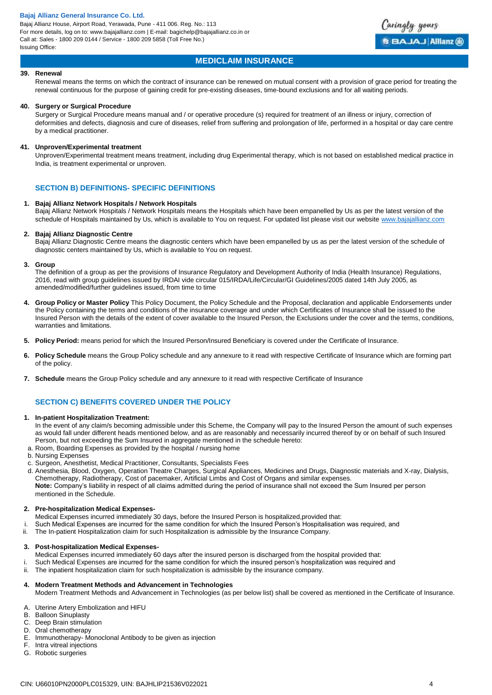Bajaj Allianz House, Airport Road, Yerawada, Pune - 411 006. Reg. No.: 113 For more details, log on to: www.bajajallianz.com | E-mail: bagichelp@bajajallianz.co.in or Call at: Sales - 1800 209 0144 / Service - 1800 209 5858 (Toll Free No.) Issuing Office:



## **MEDICLAIM INSURANCE**

## **39. Renewal**

Renewal means the terms on which the contract of insurance can be renewed on mutual consent with a provision of grace period for treating the renewal continuous for the purpose of gaining credit for pre-existing diseases, time-bound exclusions and for all waiting periods.

#### **40. Surgery or Surgical Procedure**

Surgery or Surgical Procedure means manual and / or operative procedure (s) required for treatment of an illness or injury, correction of deformities and defects, diagnosis and cure of diseases, relief from suffering and prolongation of life, performed in a hospital or day care centre by a medical practitioner.

#### **41. Unproven/Experimental treatment**

Unproven/Experimental treatment means treatment, including drug Experimental therapy, which is not based on established medical practice in India, is treatment experimental or unproven.

## **SECTION B) DEFINITIONS- SPECIFIC DEFINITIONS**

#### **1. Bajaj Allianz Network Hospitals / Network Hospitals**

Bajaj Allianz Network Hospitals / Network Hospitals means the Hospitals which have been empanelled by Us as per the latest version of the schedule of Hospitals maintained by Us, which is available to You on request. For updated list please visit our websit[e www.bajajallianz.com](http://www.bajajallianz.com/)

#### **2. Bajaj Allianz Diagnostic Centre**

Bajaj Allianz Diagnostic Centre means the diagnostic centers which have been empanelled by us as per the latest version of the schedule of diagnostic centers maintained by Us, which is available to You on request.

#### **3. Group**

The definition of a group as per the provisions of Insurance Regulatory and Development Authority of India (Health Insurance) Regulations, 2016, read with group guidelines issued by IRDAI vide circular 015/IRDA/Life/Circular/GI Guidelines/2005 dated 14th July 2005, as amended/modified/further guidelines issued, from time to time

- **4. Group Policy or Master Policy** This Policy Document, the Policy Schedule and the Proposal, declaration and applicable Endorsements under the Policy containing the terms and conditions of the insurance coverage and under which Certificates of Insurance shall be issued to the Insured Person with the details of the extent of cover available to the Insured Person, the Exclusions under the cover and the terms, conditions, warranties and limitations.
- **5. Policy Period:** means period for which the Insured Person/Insured Beneficiary is covered under the Certificate of Insurance.
- **6. Policy Schedule** means the Group Policy schedule and any annexure to it read with respective Certificate of Insurance which are forming part of the policy.
- **7. Schedule** means the Group Policy schedule and any annexure to it read with respective Certificate of Insurance

## **SECTION C) BENEFITS COVERED UNDER THE POLICY**

## **1. In-patient Hospitalization Treatment:**

In the event of any claim/s becoming admissible under this Scheme, the Company will pay to the Insured Person the amount of such expenses as would fall under different heads mentioned below, and as are reasonably and necessarily incurred thereof by or on behalf of such Insured Person, but not exceeding the Sum Insured in aggregate mentioned in the schedule hereto:

- a. Room, Boarding Expenses as provided by the hospital / nursing home
- b. Nursing Expenses
- c. Surgeon, Anesthetist, Medical Practitioner, Consultants, Specialists Fees
- d. Anesthesia, Blood, Oxygen, Operation Theatre Charges, Surgical Appliances, Medicines and Drugs, Diagnostic materials and X-ray, Dialysis, Chemotherapy, Radiotherapy, Cost of pacemaker, Artificial Limbs and Cost of Organs and similar expenses. **Note:** Company's liability in respect of all claims admitted during the period of insurance shall not exceed the Sum Insured per person mentioned in the Schedule.

## **2. Pre-hospitalization Medical Expenses-**

- Medical Expenses incurred immediately 30 days, before the Insured Person is hospitalized,provided that:
- i. Such Medical Expenses are incurred for the same condition for which the Insured Person's Hospitalisation was required, and
- ii. The In-patient Hospitalization claim for such Hospitalization is admissible by the Insurance Company.

#### **3. Post-hospitalization Medical Expenses-**

- Medical Expenses incurred immediately 60 days after the insured person is discharged from the hospital provided that:
- i. Such Medical Expenses are incurred for the same condition for which the insured person's hospitalization was required and
- ii. The inpatient hospitalization claim for such hospitalization is admissible by the insurance company.

## **4. Modern Treatment Methods and Advancement in Technologies**

Modern Treatment Methods and Advancement in Technologies (as per below list) shall be covered as mentioned in the Certificate of Insurance.

- A. Uterine Artery Embolization and HIFU
- B. Balloon Sinuplasty
- C. Deep Brain stimulation
- D. Oral chemotherapy
- E. Immunotherapy- Monoclonal Antibody to be given as injection
- F. Intra vitreal injections
- G. Robotic surgeries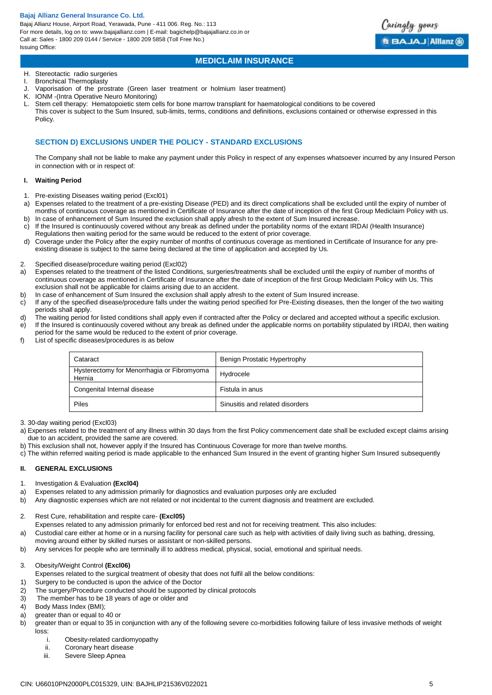Bajaj Allianz House, Airport Road, Yerawada, Pune - 411 006. Reg. No.: 113 For more details, log on to: www.bajajallianz.com | E-mail: bagichelp@bajajallianz.co.in or Call at: Sales - 1800 209 0144 / Service - 1800 209 5858 (Toll Free No.) Issuing Office:

Caringly yours **BBAJAJ Allianz @** 

## **MEDICLAIM INSURANCE**

## H. Stereotactic radio surgeries

- I. Bronchical Thermoplasty
- J. Vaporisation of the prostrate (Green laser treatment or holmium laser treatment)
- K. IONM -(Intra Operative Neuro Monitoring)
- L. Stem cell therapy: Hematopoietic stem cells for bone marrow transplant for haematological conditions to be covered This cover is subject to the Sum Insured, sub-limits, terms, conditions and definitions, exclusions contained or otherwise expressed in this Policy.

## **SECTION D) EXCLUSIONS UNDER THE POLICY - STANDARD EXCLUSIONS**

The Company shall not be liable to make any payment under this Policy in respect of any expenses whatsoever incurred by any Insured Person in connection with or in respect of:

## **I. Waiting Period**

- 1. Pre-existing Diseases waiting period (Excl01)
- a) Expenses related to the treatment of a pre-existing Disease (PED) and its direct complications shall be excluded until the expiry of number of months of continuous coverage as mentioned in Certificate of Insurance after the date of inception of the first Group Mediclaim Policy with us.
- b) In case of enhancement of Sum Insured the exclusion shall apply afresh to the extent of Sum Insured increase c) If the Insured is continuously covered without any break as defined under the portability norms of the extant IRDAI (Health Insurance) Regulations then waiting period for the same would be reduced to the extent of prior coverage.
- d) Coverage under the Policy after the expiry number of months of continuous coverage as mentioned in Certificate of Insurance for any preexisting disease is subject to the same being declared at the time of application and accepted by Us.
- 2. Specified disease/procedure waiting period (Excl02)
- a) Expenses related to the treatment of the listed Conditions, surgeries/treatments shall be excluded until the expiry of number of months of continuous coverage as mentioned in Certificate of Insurance after the date of inception of the first Group Mediclaim Policy with Us. This exclusion shall not be applicable for claims arising due to an accident.
- b) In case of enhancement of Sum Insured the exclusion shall apply afresh to the extent of Sum Insured increase.
- c) If any of the specified disease/procedure falls under the waiting period specified for Pre-Existing diseases, then the longer of the two waiting periods shall apply.
- d) The waiting period for listed conditions shall apply even if contracted after the Policy or declared and accepted without a specific exclusion. e) If the Insured is continuously covered without any break as defined under the applicable norms on portability stipulated by IRDAI, then waiting
- period for the same would be reduced to the extent of prior coverage.
- f) List of specific diseases/procedures is as below

| Cataract                                             | Benign Prostatic Hypertrophy    |
|------------------------------------------------------|---------------------------------|
| Hysterectomy for Menorrhagia or Fibromyoma<br>Hernia | Hydrocele                       |
| Congenital Internal disease                          | Fistula in anus                 |
| Piles                                                | Sinusitis and related disorders |

3. 30-day waiting period (Excl03)

- a) Expenses related to the treatment of any illness within 30 days from the first Policy commencement date shall be excluded except claims arising due to an accident, provided the same are covered.
- b) This exclusion shall not, however apply if the Insured has Continuous Coverage for more than twelve months.
- c) The within referred waiting period is made applicable to the enhanced Sum Insured in the event of granting higher Sum Insured subsequently

## **II. GENERAL EXCLUSIONS**

- 1. Investigation & Evaluation **(Excl04)**
- a) Expenses related to any admission primarily for diagnostics and evaluation purposes only are excluded
- b) Any diagnostic expenses which are not related or not incidental to the current diagnosis and treatment are excluded.
- 2. Rest Cure, rehabilitation and respite care- **(Excl05)**
	- Expenses related to any admission primarily for enforced bed rest and not for receiving treatment. This also includes:
- a) Custodial care either at home or in a nursing facility for personal care such as help with activities of daily living such as bathing, dressing,
- moving around either by skilled nurses or assistant or non-skilled persons.
- b) Any services for people who are terminally ill to address medical, physical, social, emotional and spiritual needs.

# 3. Obesity/Weight Control **(Excl06)**

- Expenses related to the surgical treatment of obesity that does not fulfil all the below conditions:
- 1) Surgery to be conducted is upon the advice of the Doctor
- 2) The surgery/Procedure conducted should be supported by clinical protocols
- 3) The member has to be 18 years of age or older and
- 4) Body Mass Index (BMI);
- a) greater than or equal to 40 or
- b) greater than or equal to 35 in conjunction with any of the following severe co-morbidities following failure of less invasive methods of weight loss:
	- i. Obesity-related cardiomyopathy
	- ii. Coronary heart disease
	- iii. Severe Sleep Apnea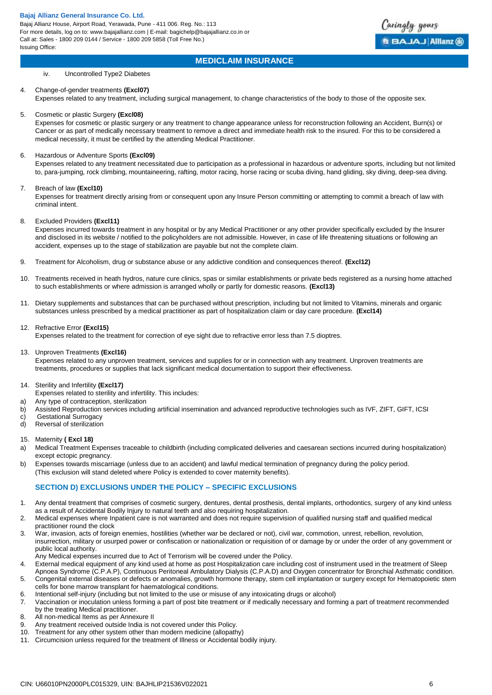

## **MEDICLAIM INSURANCE**

iv. Uncontrolled Type2 Diabetes

## 4. Change-of-gender treatments **(Excl07)**

Expenses related to any treatment, including surgical management, to change characteristics of the body to those of the opposite sex.

#### 5. Cosmetic or plastic Surgery **(Excl08)**

Expenses for cosmetic or plastic surgery or any treatment to change appearance unless for reconstruction following an Accident, Burn(s) or Cancer or as part of medically necessary treatment to remove a direct and immediate health risk to the insured. For this to be considered a medical necessity, it must be certified by the attending Medical Practitioner.

## 6. Hazardous or Adventure Sports **(Excl09)**

Expenses related to any treatment necessitated due to participation as a professional in hazardous or adventure sports, including but not limited to, para-jumping, rock climbing, mountaineering, rafting, motor racing, horse racing or scuba diving, hand gliding, sky diving, deep-sea diving.

## 7. Breach of law **(Excl10)**

Expenses for treatment directly arising from or consequent upon any Insure Person committing or attempting to commit a breach of law with criminal intent.

#### 8. Excluded Providers **(Excl11)**

Expenses incurred towards treatment in any hospital or by any Medical Practitioner or any other provider specifically excluded by the Insurer and disclosed in its website / notified to the policyholders are not admissible. However, in case of life threatening situations or following an accident, expenses up to the stage of stabilization are payable but not the complete claim.

- 9. Treatment for Alcoholism, drug or substance abuse or any addictive condition and consequences thereof. **(Excl12)**
- 10. Treatments received in heath hydros, nature cure clinics, spas or similar establishments or private beds registered as a nursing home attached to such establishments or where admission is arranged wholly or partly for domestic reasons. **(Excl13)**
- 11. Dietary supplements and substances that can be purchased without prescription, including but not limited to Vitamins, minerals and organic substances unless prescribed by a medical practitioner as part of hospitalization claim or day care procedure. **(Excl14)**

## 12. Refractive Error **(Excl15)**

Expenses related to the treatment for correction of eye sight due to refractive error less than 7.5 dioptres.

## 13. Unproven Treatments **(Excl16)**

Expenses related to any unproven treatment, services and supplies for or in connection with any treatment. Unproven treatments are treatments, procedures or supplies that lack significant medical documentation to support their effectiveness.

## 14. Sterility and Infertility **(Excl17)**

Expenses related to sterility and infertility. This includes:

- a) Any type of contraception, sterilization
- b) Assisted Reproduction services including artificial insemination and advanced reproductive technologies such as IVF, ZIFT, GIFT, ICSI
- c) Gestational Surrogacy<br>d) Reversal of sterilization
- Reversal of sterilization

## 15. Maternity **( Excl 18)**

- a) Medical Treatment Expenses traceable to childbirth (including complicated deliveries and caesarean sections incurred during hospitalization) except ectopic pregnancy.
- b) Expenses towards miscarriage (unless due to an accident) and lawful medical termination of pregnancy during the policy period. (This exclusion will stand deleted where Policy is extended to cover maternity benefits).

## **SECTION D) EXCLUSIONS UNDER THE POLICY – SPECIFIC EXCLUSIONS**

- 1. Any dental treatment that comprises of cosmetic surgery, dentures, dental prosthesis, dental implants, orthodontics, surgery of any kind unless as a result of Accidental Bodily Injury to natural teeth and also requiring hospitalization.
- 2. Medical expenses where Inpatient care is not warranted and does not require supervision of qualified nursing staff and qualified medical practitioner round the clock
- 3. War, invasion, acts of foreign enemies, hostilities (whether war be declared or not), civil war, commotion, unrest, rebellion, revolution, insurrection, military or usurped power or confiscation or nationalization or requisition of or damage by or under the order of any government or public local authority.
- Any Medical expenses incurred due to Act of Terrorism will be covered under the Policy.
- 4. External medical equipment of any kind used at home as post Hospitalization care including cost of instrument used in the treatment of Sleep Apnoea Syndrome (C.P.A.P), Continuous Peritoneal Ambulatory Dialysis (C.P.A.D) and Oxygen concentrator for Bronchial Asthmatic condition.
- 5. Congenital external diseases or defects or anomalies, growth hormone therapy, stem cell implantation or surgery except for Hematopoietic stem cells for bone marrow transplant for haematological conditions.
- 6. Intentional self-injury (including but not limited to the use or misuse of any intoxicating drugs or alcohol)
- 7. Vaccination or inoculation unless forming a part of post bite treatment or if medically necessary and forming a part of treatment recommended by the treating Medical practitioner.
- 8. All non-medical Items as per Annexure II
- 9. Any treatment received outside India is not covered under this Policy.
- 10. Treatment for any other system other than modern medicine (allopathy)
- 11. Circumcision unless required for the treatment of Illness or Accidental bodily injury.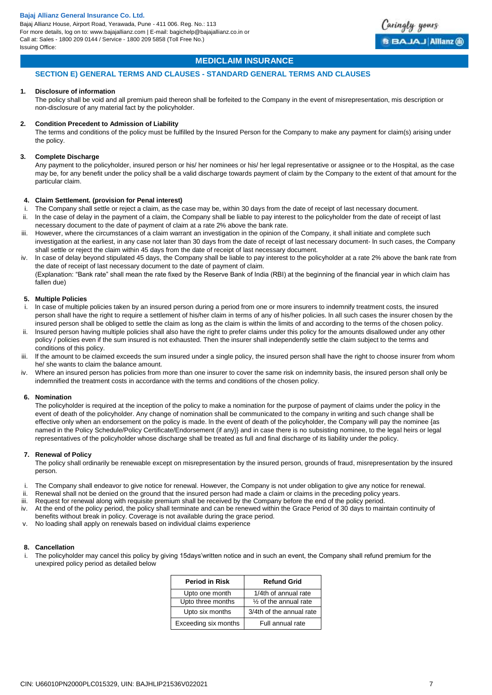

## **MEDICLAIM INSURANCE**

## **SECTION E) GENERAL TERMS AND CLAUSES - STANDARD GENERAL TERMS AND CLAUSES**

## **1. Disclosure of information**

The policy shall be void and all premium paid thereon shall be forfeited to the Company in the event of misrepresentation, mis description or non-disclosure of any material fact by the policyholder.

## **2. Condition Precedent to Admission of Liability**

The terms and conditions of the policy must be fulfilled by the Insured Person for the Company to make any payment for claim(s) arising under the policy.

## **3. Complete Discharge**

Any payment to the policyholder, insured person or his/ her nominees or his/ her legal representative or assignee or to the Hospital, as the case may be, for any benefit under the policy shall be a valid discharge towards payment of claim by the Company to the extent of that amount for the particular claim.

## **4. Claim Settlement. (provision for Penal interest)**

- i. The Company shall settle or reject a claim, as the case may be, within 30 days from the date of receipt of last necessary document.
- ii. ln the case of delay in the payment of a claim, the Company shall be liable to pay interest to the policyholder from the date of receipt of last necessary document to the date of payment of claim at a rate 2% above the bank rate.
- iii. However, where the circumstances of a claim warrant an investigation in the opinion of the Company, it shall initiate and complete such investigation at the earliest, in any case not later than 30 days from the date of receipt of last necessary document- ln such cases, the Company shall settle or reject the claim within 45 days from the date of receipt of last necessary document.
- iv. ln case of delay beyond stipulated 45 days, the Company shall be liable to pay interest to the policyholder at a rate 2% above the bank rate from the date of receipt of last necessary document to the date of payment of claim.

(Explanation: "Bank rate" shall mean the rate fixed by the Reserve Bank of India (RBI) at the beginning of the financial year in which claim has fallen due)

#### **5. Multiple Policies**

- i. ln case of multiple policies taken by an insured person during a period from one or more insurers to indemnify treatment costs, the insured person shall have the right to require a settlement of his/her claim in terms of any of his/her policies. ln all such cases the insurer chosen by the insured person shall be obliged to settle the claim as long as the claim is within the limits of and according to the terms of the chosen policy.
- ii. lnsured person having multiple policies shall also have the right to prefer claims under this policy for the amounts disallowed under any other policy / policies even if the sum insured is not exhausted. Then the insurer shall independently settle the claim subject to the terms and conditions of this policy.
- iii. If the amount to be claimed exceeds the sum insured under a single policy, the insured person shall have the right to choose insurer from whom he/ she wants to claim the balance amount.
- Where an insured person has policies from more than one insurer to cover the same risk on indemnity basis, the insured person shall only be indemnified the treatment costs in accordance with the terms and conditions of the chosen policy.

## **6. Nomination**

The policyholder is required at the inception of the policy to make a nomination for the purpose of payment of claims under the policy in the event of death of the policyholder. Any change of nomination shall be communicated to the company in writing and such change shall be effective only when an endorsement on the policy is made. ln the event of death of the policyholder, the Company will pay the nominee {as named in the Policy Schedule/Policy Certificate/Endorsement (if any)} and in case there is no subsisting nominee, to the legal heirs or legal representatives of the policyholder whose discharge shall be treated as full and final discharge of its liability under the policy.

## **7. Renewal of Policy**

The policy shall ordinarily be renewable except on misrepresentation by the insured person, grounds of fraud, misrepresentation by the insured person.

- The Company shall endeavor to give notice for renewal. However, the Company is not under obligation to give any notice for renewal.
- ii. Renewal shall not be denied on the ground that the insured person had made a claim or claims in the preceding policy years.
- iii. Request for renewal along with requisite premium shall be received by the Company before the end of the policy period.
- iv. At the end of the policy period, the policy shall terminate and can be renewed within the Grace Period of 30 days to maintain continuity of benefits without break in policy. Coverage is not available during the grace period.
- v. No loading shall apply on renewals based on individual claims experience

# **8. Cancellation**

The policyholder may cancel this policy by giving 15days'written notice and in such an event, the Company shall refund premium for the unexpired policy period as detailed below

| <b>Period in Risk</b> | <b>Refund Grid</b>       |
|-----------------------|--------------------------|
| Upto one month        | 1/4th of annual rate     |
| Upto three months     | 1/2 of the annual rate   |
| Upto six months       | 3/4th of the annual rate |
| Exceeding six months  | Full annual rate         |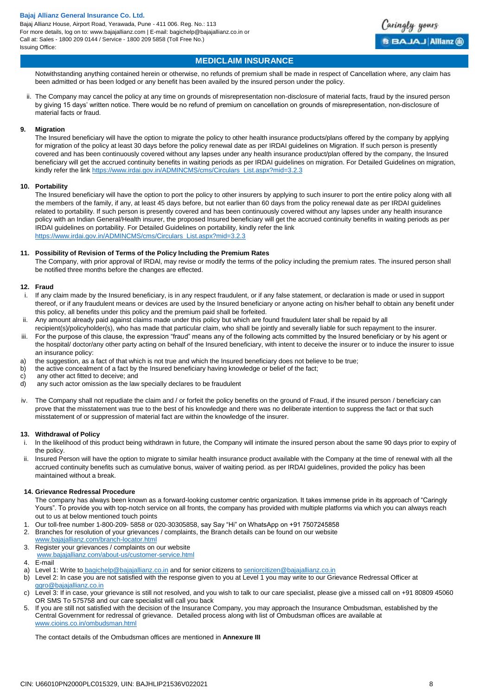

# **MEDICLAIM INSURANCE**

Notwithstanding anything contained herein or otherwise, no refunds of premium shall be made in respect of Cancellation where, any claim has been admitted or has been lodged or any benefit has been availed by the insured person under the policy.

ii. The Company may cancel the policy at any time on grounds of misrepresentation non-disclosure of material facts, fraud by the insured person by giving 15 days' written notice. There would be no refund of premium on cancellation on grounds of misrepresentation, non-disclosure of material facts or fraud.

## **9. Migration**

The Insured beneficiary will have the option to migrate the policy to other health insurance products/plans offered by the company by applying for migration of the policy at least 30 days before the policy renewal date as per IRDAI guidelines on Migration. If such person is presently covered and has been continuously covered without any lapses under any health insurance product/plan offered by the company, the Insured beneficiary will get the accrued continuity benefits in waiting periods as per IRDAI guidelines on migration. For Detailed Guidelines on migration, kindly refer the lin[k https://www.irdai.gov.in/ADMINCMS/cms/Circulars\\_List.aspx?mid=3.2.3](https://www.irdai.gov.in/ADMINCMS/cms/Circulars_List.aspx?mid=3.2.3)

## **10. Portability**

The Insured beneficiary will have the option to port the policy to other insurers by applying to such insurer to port the entire policy along with all the members of the family, if any, at least 45 days before, but not earlier than 60 days from the policy renewal date as per IRDAI guidelines related to portability. If such person is presently covered and has been continuously covered without any lapses under any health insurance policy with an Indian General/Health insurer, the proposed Insured beneficiary will get the accrued continuity benefits in waiting periods as per IRDAI guidelines on portability. For Detailed Guidelines on portability, kindly refer the link [https://www.irdai.gov.in/ADMINCMS/cms/Circulars\\_List.aspx?mid=3.2.3](https://www.irdai.gov.in/ADMINCMS/cms/Circulars_List.aspx?mid=3.2.3)

## **11. Possibility of Revision of Terms of the Policy lncluding the Premium Rates**

The Company, with prior approval of lRDAl, may revise or modify the terms of the policy including the premium rates. The insured person shall be notified three months before the changes are effected.

## **12. Fraud**

- i. If any claim made by the Insured beneficiary, is in any respect fraudulent, or if any false statement, or declaration is made or used in support thereof, or if any fraudulent means or devices are used by the Insured beneficiary or anyone acting on his/her behalf to obtain any benefit under this policy, all benefits under this policy and the premium paid shall be forfeited.
- ii. Any amount already paid against claims made under this policy but which are found fraudulent later shall be repaid by all recipient(s)/policyholder(s), who has made that particular claim, who shall be jointly and severally liable for such repayment to the insurer.
- iii. For the purpose of this clause, the expression "fraud" means any of the following acts committed by the Insured beneficiary or by his agent or the hospital/ doctor/any other party acting on behalf of the Insured beneficiary, with intent to deceive the insurer or to induce the insurer to issue an insurance policy:
- a) the suggestion, as a fact of that which is not true and which the Insured beneficiary does not believe to be true;<br>b) the active concealment of a fact by the Insured beneficiary having knowledge or belief of the fact:
- the active concealment of a fact by the Insured beneficiary having knowledge or belief of the fact;
- c) any other act fitted to deceive; and
- d) any such actor omission as the law specially declares to be fraudulent
- iv. The Company shall not repudiate the claim and / or forfeit the policy benefits on the ground of Fraud, if the insured person / beneficiary can prove that the misstatement was true to the best of his knowledge and there was no deliberate intention to suppress the fact or that such misstatement of or suppression of material fact are within the knowledge of the insurer.

## **13. Withdrawal of Policy**

- i. ln the likelihood of this product being withdrawn in future, the Company will intimate the insured person about the same 90 days prior to expiry of the policy.
- Insured Person will have the option to migrate to similar health insurance product available with the Company at the time of renewal with all the accrued continuity benefits such as cumulative bonus, waiver of waiting period. as per IRDAI guidelines, provided the policy has been maintained without a break.

## **14. Grievance Redressal Procedure**

The company has always been known as a forward-looking customer centric organization. It takes immense pride in its approach of "Caringly Yours". To provide you with top-notch service on all fronts, the company has provided with multiple platforms via which you can always reach out to us at below mentioned touch points

- 1. Our toll-free number 1-800-209- 5858 or 020-30305858, say Say "Hi" on WhatsApp on +91 7507245858
- 2. Branches for resolution of your grievances / complaints, the Branch details can be found on our website
- [www.bajajallianz.com/branch-locator.html](http://www.bajajallianz.com/branch-locator.html) 3. Register your grievances / complaints on our website
- [www.bajajallianz.com/about-us/customer-service.html](http://www.bajajallianz.com/about-us/customer-service.html)
- 4. E-mail
- a) Level 1: Write to [bagichelp@bajajallianz.co.in](mailto:bagichelp@bajajallianz.co.in) and for senior citizens to [seniorcitizen@bajajallianz.co.in](mailto:seniorcitizen@bajajallianz.co.in)
- b) Level 2: In case you are not satisfied with the response given to you at Level 1 you may write to our Grievance Redressal Officer at [ggro@bajajallianz.co.in](mailto:ggro@bajajallianz.co.in)
- c) Level 3: If in case, your grievance is still not resolved, and you wish to talk to our care specialist, please give a missed call on +91 80809 45060 OR SMS To 575758 and our care specialist will call you back
- 5. If you are still not satisfied with the decision of the Insurance Company, you may approach the Insurance Ombudsman, established by the Central Government for redressal of grievance. Detailed process along with list of Ombudsman offices are available at [www.cioins.co.in/ombudsman.html](http://www.cioins.co.in/ombudsman.html)

The contact details of the Ombudsman offices are mentioned in **Annexure III**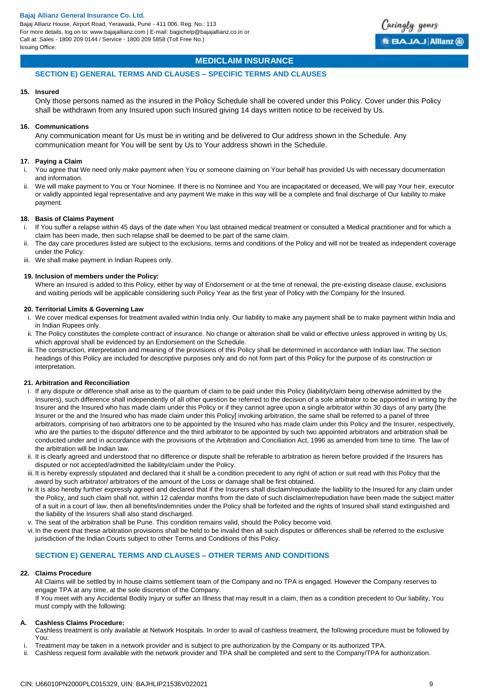

## **MEDICLAIM INSURANCE**

## **SECTION E) GENERAL TERMS AND CLAUSES – SPECIFIC TERMS AND CLAUSES**

## **15. Insured**

Only those persons named as the insured in the Policy Schedule shall be covered under this Policy. Cover under this Policy shall be withdrawn from any Insured upon such Insured giving 14 days written notice to be received by Us.

## **16. Communications**

Any communication meant for Us must be in writing and be delivered to Our address shown in the Schedule. Any communication meant for You will be sent by Us to Your address shown in the Schedule.

## **17. Paying a Claim**

- i. You agree that We need only make payment when You or someone claiming on Your behalf has provided Us with necessary documentation and information.
- ii. We will make payment to You or Your Nominee. If there is no Nominee and You are incapacitated or deceased, We will pay Your heir, executor or validly appointed legal representative and any payment We make in this way will be a complete and final discharge of Our liability to make payment.

#### **18. Basis of Claims Payment**

- i. If You suffer a relapse within 45 days of the date when You last obtained medical treatment or consulted a Medical practitioner and for which a claim has been made, then such relapse shall be deemed to be part of the same claim.
- ii. The day care procedures listed are subject to the exclusions, terms and conditions of the Policy and will not be treated as independent coverage under the Policy.
- iii. We shall make payment in Indian Rupees only.

## **19. Inclusion of members under the Policy:**

Where an Insured is added to this Policy, either by way of Endorsement or at the time of renewal, the pre-existing disease clause, exclusions and waiting periods will be applicable considering such Policy Year as the first year of Policy with the Company for the Insured.

#### **20. Territorial Limits & Governing Law**

- i. We cover medical expenses for treatment availed within India only. Our liability to make any payment shall be to make payment within India and in Indian Rupees only.
- ii. The Policy constitutes the complete contract of insurance. No change or alteration shall be valid or effective unless approved in writing by Us, which approval shall be evidenced by an Endorsement on the Schedule.
- iii. The construction, interpretation and meaning of the provisions of this Policy shall be determined in accordance with Indian law. The section headings of this Policy are included for descriptive purposes only and do not form part of this Policy for the purpose of its construction or interpretation.

## **21. Arbitration and Reconciliation**

- i. If any dispute or difference shall arise as to the quantum of claim to be paid under this Policy (liability/claim being otherwise admitted by the Insurers), such difference shall independently of all other question be referred to the decision of a sole arbitrator to be appointed in writing by the Insurer and the Insured who has made claim under this Policy or if they cannot agree upon a single arbitrator within 30 days of any party [the Insurer or the and the Insured who has made claim under this Policy] invoking arbitration, the same shall be referred to a panel of three arbitrators, comprising of two arbitrators one to be appointed by the Insured who has made claim under this Policy and the Insurer, respectively, who are the parties to the dispute/ difference and the third arbitrator to be appointed by such two appointed arbitrators and arbitration shall be conducted under and in accordance with the provisions of the Arbitration and Conciliation Act, 1996 as amended from time to time. The law of the arbitration will be Indian law.
- ii. It is clearly agreed and understood that no difference or dispute shall be referable to arbitration as herein before provided if the Insurers has disputed or not accepted/admitted the liability/claim under the Policy.
- iii. It is hereby expressly stipulated and declared that it shall be a condition precedent to any right of action or suit read with this Policy that the award by such arbitrator/ arbitrators of the amount of the Loss or damage shall be first obtained.
- iv.It is also hereby further expressly agreed and declared that if the Insurers shall disclaim/repudiate the liability to the Insured for any claim under the Policy, and such claim shall not, within 12 calendar months from the date of such disclaimer/repudiation have been made the subject matter of a suit in a court of law, then all benefits/indemnities under the Policy shall be forfeited and the rights of Insured shall stand extinguished and the liability of the Insurers shall also stand discharged.
- v. The seat of the arbitration shall be Pune. This condition remains valid, should the Policy become void.
- vi.In the event that these arbitration provisions shall be held to be invalid then all such disputes or differences shall be referred to the exclusive jurisdiction of the Indian Courts subject to other Terms and Conditions of this Policy.

## **SECTION E) GENERAL TERMS AND CLAUSES – OTHER TERMS AND CONDITIONS**

## **22. Claims Procedure**

All Claims will be settled by In house claims settlement team of the Company and no TPA is engaged. However the Company reserves to engage TPA at any time, at the sole discretion of the Company.

If You meet with any Accidental Bodily Injury or suffer an Illness that may result in a claim, then as a condition precedent to Our liability, You must comply with the following:

## **A. Cashless Claims Procedure:**

- Cashless treatment is only available at Network Hospitals. In order to avail of cashless treatment, the following procedure must be followed by You:
- i. Treatment may be taken in a network provider and is subject to pre authorization by the Company or its authorized TPA.
- Cashless request form available with the network provider and TPA shall be completed and sent to the Company/TPA for authorization.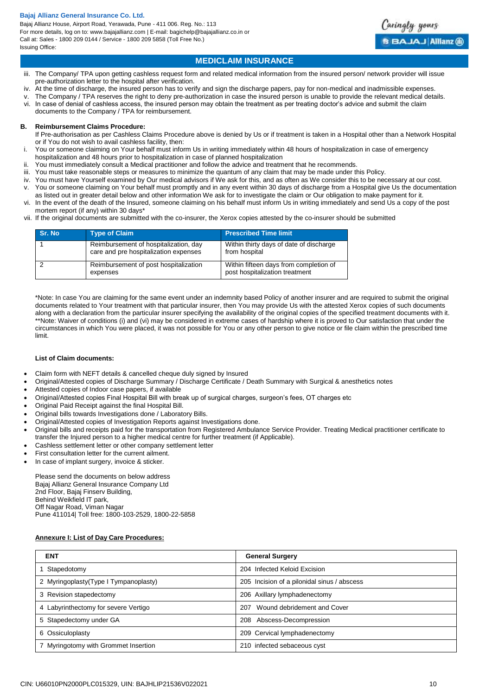Bajaj Allianz House, Airport Road, Yerawada, Pune - 411 006. Reg. No.: 113 For more details, log on to: www.bajajallianz.com | E-mail: bagichelp@bajajallianz.co.in or Call at: Sales - 1800 209 0144 / Service - 1800 209 5858 (Toll Free No.) Issuing Office:



# **MEDICLAIM INSURANCE**

- iii. The Company/ TPA upon getting cashless request form and related medical information from the insured person/ network provider will issue pre-authorization letter to the hospital after verification.
- iv. At the time of discharge, the insured person has to verify and sign the discharge papers, pay for non-medical and inadmissible expenses.
- The Company / TPA reserves the right to deny pre-authorization in case the insured person is unable to provide the relevant medical details. vi. In case of denial of cashless access, the insured person may obtain the treatment as per treating doctor's advice and submit the claim
- documents to the Company / TPA for reimbursement.

#### **B. Reimbursement Claims Procedure:**

If Pre-authorisation as per Cashless Claims Procedure above is denied by Us or if treatment is taken in a Hospital other than a Network Hospital or if You do not wish to avail cashless facility, then:

- i. You or someone claiming on Your behalf must inform Us in writing immediately within 48 hours of hospitalization in case of emergency hospitalization and 48 hours prior to hospitalization in case of planned hospitalization
- You must immediately consult a Medical practitioner and follow the advice and treatment that he recommends.
- iii. You must take reasonable steps or measures to minimize the quantum of any claim that may be made under this Policy.
- 
- You must have Yourself examined by Our medical advisors if We ask for this, and as often as We consider this to be necessary at our cost. v. You or someone claiming on Your behalf must promptly and in any event within 30 days of discharge from a Hospital give Us the documentation
- as listed out in greater detail below and other information We ask for to investigate the claim or Our obligation to make payment for it. vi. In the event of the death of the Insured, someone claiming on his behalf must inform Us in writing immediately and send Us a copy of the post mortem report (if any) within 30 days\*
- vii. If the original documents are submitted with the co-insurer, the Xerox copies attested by the co-insurer should be submitted

| Sr. No | <b>Type of Claim</b>                                                           | <b>Prescribed Time limit</b>                                             |
|--------|--------------------------------------------------------------------------------|--------------------------------------------------------------------------|
|        | Reimbursement of hospitalization, day<br>care and pre hospitalization expenses | Within thirty days of date of discharge<br>from hospital                 |
|        | Reimbursement of post hospitalization<br>expenses                              | Within fifteen days from completion of<br>post hospitalization treatment |

\*Note: In case You are claiming for the same event under an indemnity based Policy of another insurer and are required to submit the original documents related to Your treatment with that particular insurer, then You may provide Us with the attested Xerox copies of such documents along with a declaration from the particular insurer specifying the availability of the original copies of the specified treatment documents with it. \*\*Note: Waiver of conditions (i) and (vi) may be considered in extreme cases of hardship where it is proved to Our satisfaction that under the circumstances in which You were placed, it was not possible for You or any other person to give notice or file claim within the prescribed time limit.

## **List of Claim documents:**

- Claim form with NEFT details & cancelled cheque duly signed by Insured
- Original/Attested copies of Discharge Summary / Discharge Certificate / Death Summary with Surgical & anesthetics notes
- Attested copies of Indoor case papers, if available
- Original/Attested copies Final Hospital Bill with break up of surgical charges, surgeon's fees, OT charges etc
- Original Paid Receipt against the final Hospital Bill.
- Original bills towards Investigations done / Laboratory Bills.
- Original/Attested copies of Investigation Reports against Investigations done.
- Original bills and receipts paid for the transportation from Registered Ambulance Service Provider. Treating Medical practitioner certificate to transfer the Injured person to a higher medical centre for further treatment (if Applicable).
- Cashless settlement letter or other company settlement letter
- First consultation letter for the current ailment.
- In case of implant surgery, invoice & sticker.

Please send the documents on below address Bajaj Allianz General Insurance Company Ltd 2nd Floor, Bajaj Finserv Building, Behind Weikfield IT park, Off Nagar Road, Viman Nagar Pune 411014| Toll free: 1800-103-2529, 1800-22-5858

## **Annexure I: List of Day Care Procedures:**

| <b>ENT</b>                             | <b>General Surgery</b>                      |
|----------------------------------------|---------------------------------------------|
| Stapedotomy                            | 204 Infected Keloid Excision                |
| 2 Myringoplasty (Type I Tympanoplasty) | 205 Incision of a pilonidal sinus / abscess |
| 3 Revision stapedectomy                | 206 Axillary lymphadenectomy                |
| 4 Labyrinthectomy for severe Vertigo   | Wound debridement and Cover<br>207          |
| 5 Stapedectomy under GA                | Abscess-Decompression<br>208                |
| 6 Ossiculoplasty                       | 209 Cervical lymphadenectomy                |
| 7 Myringotomy with Grommet Insertion   | 210 infected sebaceous cyst                 |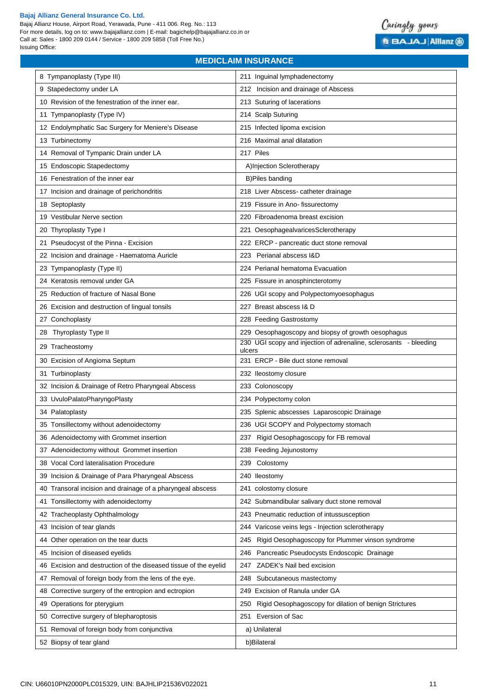Bajaj Allianz House, Airport Road, Yerawada, Pune - 411 006. Reg. No.: 113 For more details, log on to: www.bajajallianz.com | E-mail: bagichelp@bajajallianz.co.in or Call at: Sales - 1800 209 0144 / Service - 1800 209 5858 (Toll Free No.) Issuing Office:



# 8 Tympanoplasty (Type III) 211 Inguinal lymphadenectomy 9 Stapedectomy under LA 212 Incision and drainage of Abscess 10 Revision of the fenestration of the inner ear. 213 Suturing of lacerations 11 Tympanoplasty (Type IV) 214 Scalp Suturing 12 Endolymphatic Sac Surgery for Meniere's Disease 215 Infected lipoma excision 13 Turbinectomy 216 Maximal anal dilatation 14 Removal of Tympanic Drain under LA 217 Piles 15 Endoscopic Stapedectomy **A**) A)Injection Sclerotherapy 16 Fenestration of the inner ear **B**)Piles banding 17 Incision and drainage of perichondritis 218 Liver Abscess- catheter drainage 18 Septoplasty 219 Fissure in Ano- fissurectomy 19 Vestibular Nerve section 220 Fibroadenoma breast excision 20 Thyroplasty Type I 221 OesophagealvaricesSclerotherapy 21 Pseudocyst of the Pinna - Excision 222 ERCP - pancreatic duct stone removal 22 Incision and drainage - Haematoma Auricle 223 Perianal abscess I&D 23 Tympanoplasty (Type II) 224 Perianal hematoma Evacuation 24 Keratosis removal under GA 225 Fissure in anosphincterotomy 25 Reduction of fracture of Nasal Bone 226 226 UGI scopy and Polypectomyoesophagus 26 Excision and destruction of lingual tonsils 227 Breast abscess I& D 27 Conchoplasty 228 Feeding Gastrostomy 28 Thyroplasty Type II 229 Oesophagoscopy and biopsy of growth oesophagus 29 Tracheostomy 29 Tracheostomy 230 UGI scopy and injection of adrenaline, sclerosants - bleeding ulcers 30 Excision of Angioma Septum 231 ERCP - Bile duct stone removal 31 Turbinoplasty 232 Ileostomy closure 32 Incision & Drainage of Retro Pharyngeal Abscess 233 Colonoscopy 33 UvuloPalatoPharyngoPlasty 234 Polypectomy colon 34 Palatoplasty 235 Splenic abscesses Laparoscopic Drainage 35 Tonsillectomy without adenoidectomy 236 UGI SCOPY and Polypectomy stomach 36 Adenoidectomy with Grommet insertion 237 Rigid Oesophagoscopy for FB removal 37 Adenoidectomy without Grommet insertion 238 Feeding Jejunostomy 38 Vocal Cord lateralisation Procedure 239 Colostomy 39 Incision & Drainage of Para Pharyngeal Abscess 240 Ileostomy 40 Transoral incision and drainage of a pharyngeal abscess 241 colostomy closure 41 Tonsillectomy with adenoidectomy 242 Submandibular salivary duct stone removal 42 Tracheoplasty Ophthalmology 243 Pneumatic reduction of intussusception 43 Incision of tear glands 244 Varicose veins legs - Injection sclerotherapy 44 Other operation on the tear ducts 245 Rigid Oesophagoscopy for Plummer vinson syndrome 45 Incision of diseased eyelids 246 Pancreatic Pseudocysts Endoscopic Drainage 46 Excision and destruction of the diseased tissue of the eyelid 247 ZADEK's Nail bed excision 47 Removal of foreign body from the lens of the eye. 248 Subcutaneous mastectomy 48 Corrective surgery of the entropion and ectropion 249 Excision of Ranula under GA 49 Operations for pterygium 250 Rigid Oesophagoscopy for dilation of benign Strictures 50 Corrective surgery of blepharoptosis 251 Eversion of Sac 51 Removal of foreign body from conjunctiva and a set of the label a) Unilateral 52 Biopsy of tear gland b)Bilateral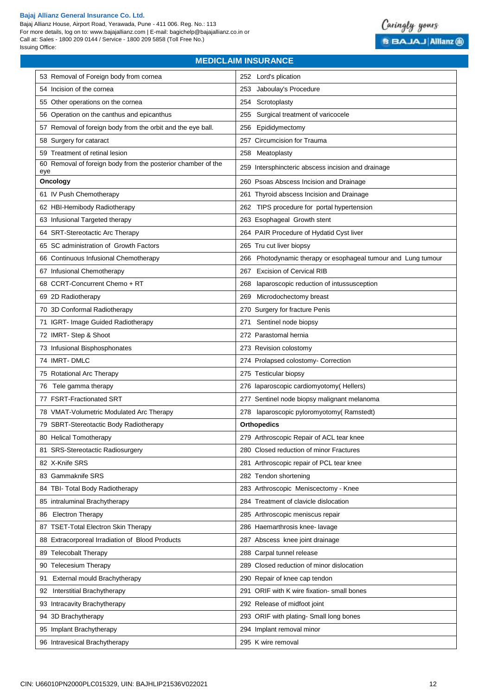eye

Bajaj Allianz House, Airport Road, Yerawada, Pune - 411 006. Reg. No.: 113 For more details, log on to: www.bajajallianz.com | E-mail: bagichelp@bajajallianz.co.in or Call at: Sales - 1800 209 0144 / Service - 1800 209 5858 (Toll Free No.) Issuing Office:



# **MEDICLAIM INSURANCE**  53 Removal of Foreign body from cornea 252 Lord's plication 54 Incision of the cornea 253 Jaboulay's Procedure 55 Other operations on the cornea 254 Scrotoplasty 56 Operation on the canthus and epicanthus 255 Surgical treatment of varicocele 57 Removal of foreign body from the orbit and the eye ball. 256 Epididymectomy 58 Surgery for cataract 257 Circumcision for Trauma 59 Treatment of retinal lesion 258 Meatoplasty 60 Removal of foreign body from the posterior chamber of the 259 Intersphincteric abscess incision and drainage **Oncology** 260 Psoas Abscess Incision and Drainage 61 IV Push Chemotherapy 261 Thyroid abscess Incision and Drainage 62 HBI-Hemibody Radiotherapy 262 TIPS procedure for portal hypertension 63 Infusional Targeted therapy 263 Esophageal Growth stent 64 SRT-Stereotactic Arc Therapy 264 PAIR Procedure of Hydatid Cyst liver 65 SC administration of Growth Factors 265 Tru cut liver biopsy 66 Continuous Infusional Chemotherapy 266 Photodynamic therapy or esophageal tumour and Lung tumour 67 Infusional Chemotherapy 267 Excision of Cervical RIB 68 CCRT-Concurrent Chemo + RT 268 laparoscopic reduction of intussusception 69 2D Radiotherapy 269 Microdochectomy breast 70 3D Conformal Radiotherapy 270 Surgery for fracture Penis 71 IGRT- Image Guided Radiotherapy 271 Sentinel node biopsy 72 IMRT- Step & Shoot 272 Parastomal hernia 73 Infusional Bisphosphonates 273 Revision colostomy 74 IMRT- DMLC 274 Prolapsed colostomy- Correction 75 Rotational Arc Therapy 275 Testicular biopsy 76 Tele gamma therapy 276 laparoscopic cardiomyotomy( Hellers) 77 FSRT-Fractionated SRT 277 Sentinel node biopsy malignant melanoma 78 VMAT-Volumetric Modulated Arc Therapy 278 laparoscopic pyloromyotomy( Ramstedt) 79 SBRT-Stereotactic Body Radiotherapy **Orthopedics** 80 Helical Tomotherapy 279 Arthroscopic Repair of ACL tear knee 81 SRS-Stereotactic Radiosurgery 280 Closed reduction of minor Fractures 82 X-Knife SRS 281 Arthroscopic repair of PCL tear knee 83 Gammaknife SRS 282 Tendon shortening

84 TBI- Total Body Radiotherapy 283 Arthroscopic Meniscectomy - Knee 85 intraluminal Brachytherapy 284 Treatment of clavicle dislocation 86 Electron Therapy 285 Arthroscopic meniscus repair 87 TSET-Total Electron Skin Therapy 286 Haemarthrosis knee- lavage 88 Extracorporeal Irradiation of Blood Products 287 Abscess knee joint drainage

90 Telecesium Therapy 289 Closed reduction of minor dislocation

92 Interstitial Brachytherapy 291 ORIF with K wire fixation- small bones

94 3D Brachytherapy 293 ORIF with plating- Small long bones

89 Telecobalt Therapy 288 Carpal tunnel release

91 External mould Brachytherapy 290 Repair of knee cap tendon

93 Intracavity Brachytherapy 292 Release of midfoot joint

95 Implant Brachytherapy 294 Implant removal minor

96 Intravesical Brachytherapy 295 K wire removal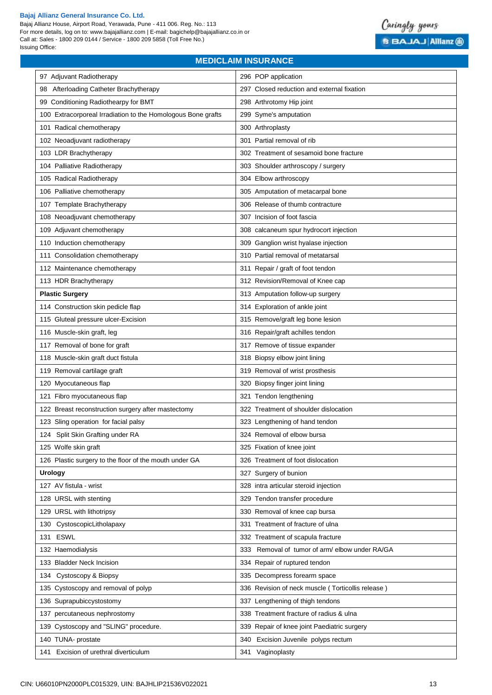Bajaj Allianz House, Airport Road, Yerawada, Pune - 411 006. Reg. No.: 113 For more details, log on to: www.bajajallianz.com | E-mail: bagichelp@bajajallianz.co.in or Call at: Sales - 1800 209 0144 / Service - 1800 209 5858 (Toll Free No.) Issuing Office:



# 97 Adjuvant Radiotherapy 296 POP application 98 Afterloading Catheter Brachytherapy 297 Closed reduction and external fixation 99 Conditioning Radiothearpy for BMT 298 Arthrotomy Hip joint 100 Extracorporeal Irradiation to the Homologous Bone grafts 299 Syme's amputation 101 Radical chemotherapy 300 Arthroplasty 102 Neoadjuvant radiotherapy 301 Partial removal of rib 103 LDR Brachytherapy 302 Treatment of sesamoid bone fracture 104 Palliative Radiotherapy **303 Shoulder arthroscopy** / surgery 105 Radical Radiotherapy 304 Elbow arthroscopy 106 Palliative chemotherapy 305 Amputation of metacarpal bone 107 Template Brachytherapy 107 Template Brachytherapy 306 Release of thumb contracture 108 Neoadjuvant chemotherapy 307 Incision of foot fascia 109 Adjuvant chemotherapy 308 calcaneum spur hydrocort injection 110 Induction chemotherapy 10 10 Induction chemotherapy 10 10 Induction chemotherapy 10 10 Induction and the metal of  $\sim$  100 Induction and the metal of the metal of the metal of the metal of the metal of the metal of the 111 Consolidation chemotherapy 111 Consolidation chemotherapy 1310 Partial removal of metatarsal 112 Maintenance chemotherapy 311 Repair / graft of foot tendon 113 HDR Brachytherapy **312 Revision/Removal of Knee cap Plastic Surgery Plastic Surgery 313 Amputation follow-up surgery** 114 Construction skin pedicle flap 314 Exploration of ankle joint 115 Gluteal pressure ulcer-Excision 315 Remove/graft leg bone lesion 116 Muscle-skin graft, leg 316 Repair/graft achilles tendon 117 Removal of bone for graft 317 Remove of tissue expander 118 Muscle-skin graft duct fistula 318 Biopsy elbow joint lining 119 Removal cartilage graft 319 Removal of wrist prosthesis 120 Myocutaneous flap 120 Myocutaneous flap 121 Fibro myocutaneous flap **321 Tendon lengthening** 122 Breast reconstruction surgery after mastectomy 322 Treatment of shoulder dislocation 123 Sling operation for facial palsy 323 Lengthening of hand tendon 124 Split Skin Grafting under RA 324 Removal of elbow bursa 125 Wolfe skin graft **325 Fixation of knee joint** 325 Fixation of knee joint 126 Plastic surgery to the floor of the mouth under GA 326 Treatment of foot dislocation **Urology 327** Surgery of bunion 127 AV fistula - wrist 328 intra articular steroid injection 128 URSL with stenting **128 URSL with stenting 128 URSL** with stenting 129 URSL with lithotripsy 129 URSL with lithotripsy 130 CystoscopicLitholapaxy 130 CystoscopicLitholapaxy 331 Treatment of fracture of ulna 131 ESWL 332 Treatment of scapula fracture 132 Haemodialysis 333 Removal of tumor of arm/ elbow under RA/GA 133 Bladder Neck Incision 334 Repair of ruptured tendon 134 Cystoscopy & Biopsy 335 Decompress forearm space 135 Cystoscopy and removal of polyp 1336 Revision of neck muscle ( Torticollis release ) 136 Suprapubiccystostomy **337** Lengthening of thigh tendons 137 percutaneous nephrostomy 338 Treatment fracture of radius & ulna 139 Cystoscopy and "SLING" procedure. 439 **Sepair of knee joint Paediatric surgery** 140 TUNA- prostate 340 Excision Juvenile polyps rectum 141 Excision of urethral diverticulum and the state of the SA41 Vaginoplasty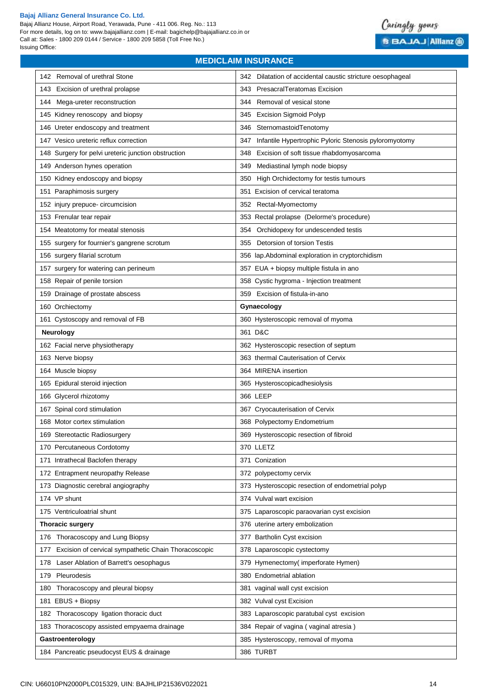Bajaj Allianz House, Airport Road, Yerawada, Pune - 411 006. Reg. No.: 113 For more details, log on to: www.bajajallianz.com | E-mail: bagichelp@bajajallianz.co.in or Call at: Sales - 1800 209 0144 / Service - 1800 209 5858 (Toll Free No.) Issuing Office:



| 343 PresacralTeratomas Excision<br>143 Excision of urethral prolapse<br>Removal of vesical stone<br>144<br>Mega-ureter reconstruction<br>344<br>145 Kidney renoscopy and biopsy<br>345 Excision Sigmoid Polyp<br>146 Ureter endoscopy and treatment<br>346 SternomastoidTenotomy<br>147 Vesico ureteric reflux correction<br>347 Infantile Hypertrophic Pyloric Stenosis pyloromyotomy<br>148 Surgery for pelvi ureteric junction obstruction<br>348 Excision of soft tissue rhabdomyosarcoma<br>149 Anderson hynes operation<br>Mediastinal lymph node biopsy<br>349<br>150 Kidney endoscopy and biopsy<br>350 High Orchidectomy for testis tumours<br>151 Paraphimosis surgery<br>351 Excision of cervical teratoma<br>152 injury prepuce- circumcision<br>352 Rectal-Myomectomy<br>153 Frenular tear repair<br>353 Rectal prolapse (Delorme's procedure)<br>354 Orchidopexy for undescended testis<br>154 Meatotomy for meatal stenosis<br>355 Detorsion of torsion Testis<br>155 surgery for fournier's gangrene scrotum<br>156 surgery filarial scrotum<br>356 lap.Abdominal exploration in cryptorchidism<br>157 surgery for watering can perineum<br>357 EUA + biopsy multiple fistula in ano<br>158 Repair of penile torsion<br>358 Cystic hygroma - Injection treatment<br>159 Drainage of prostate abscess<br>359 Excision of fistula-in-ano<br>160 Orchiectomy<br>Gynaecology<br>161 Cystoscopy and removal of FB<br>360 Hysteroscopic removal of myoma<br>361 D&C<br><b>Neurology</b><br>162 Facial nerve physiotherapy<br>362 Hysteroscopic resection of septum<br>163 Nerve biopsy<br>363 thermal Cauterisation of Cervix<br>164 Muscle biopsy<br>364 MIRENA insertion<br>165 Epidural steroid injection<br>365 Hysteroscopicadhesiolysis<br>366 LEEP<br>166 Glycerol rhizotomy<br>167 Spinal cord stimulation<br>367 Cryocauterisation of Cervix<br>168 Motor cortex stimulation<br>368 Polypectomy Endometrium<br>369 Hysteroscopic resection of fibroid<br>169 Stereotactic Radiosurgery<br>170 Percutaneous Cordotomy<br>370 LLETZ<br>371 Conization<br>171 Intrathecal Baclofen therapy<br>172 Entrapment neuropathy Release<br>372 polypectomy cervix<br>373 Hysteroscopic resection of endometrial polyp<br>173 Diagnostic cerebral angiography<br>174 VP shunt<br>374 Vulval wart excision<br>175 Ventriculoatrial shunt<br>375 Laparoscopic paraovarian cyst excision<br>376 uterine artery embolization<br><b>Thoracic surgery</b> |
|------------------------------------------------------------------------------------------------------------------------------------------------------------------------------------------------------------------------------------------------------------------------------------------------------------------------------------------------------------------------------------------------------------------------------------------------------------------------------------------------------------------------------------------------------------------------------------------------------------------------------------------------------------------------------------------------------------------------------------------------------------------------------------------------------------------------------------------------------------------------------------------------------------------------------------------------------------------------------------------------------------------------------------------------------------------------------------------------------------------------------------------------------------------------------------------------------------------------------------------------------------------------------------------------------------------------------------------------------------------------------------------------------------------------------------------------------------------------------------------------------------------------------------------------------------------------------------------------------------------------------------------------------------------------------------------------------------------------------------------------------------------------------------------------------------------------------------------------------------------------------------------------------------------------------------------------------------------------------------------------------------------------------------------------------------------------------------------------------------------------------------------------------------------------------------------------------------------------------------------------------------------------------------------------------------------------------------------------------------------------------------------------------------------------------------------------------------|
|                                                                                                                                                                                                                                                                                                                                                                                                                                                                                                                                                                                                                                                                                                                                                                                                                                                                                                                                                                                                                                                                                                                                                                                                                                                                                                                                                                                                                                                                                                                                                                                                                                                                                                                                                                                                                                                                                                                                                                                                                                                                                                                                                                                                                                                                                                                                                                                                                                                            |
|                                                                                                                                                                                                                                                                                                                                                                                                                                                                                                                                                                                                                                                                                                                                                                                                                                                                                                                                                                                                                                                                                                                                                                                                                                                                                                                                                                                                                                                                                                                                                                                                                                                                                                                                                                                                                                                                                                                                                                                                                                                                                                                                                                                                                                                                                                                                                                                                                                                            |
|                                                                                                                                                                                                                                                                                                                                                                                                                                                                                                                                                                                                                                                                                                                                                                                                                                                                                                                                                                                                                                                                                                                                                                                                                                                                                                                                                                                                                                                                                                                                                                                                                                                                                                                                                                                                                                                                                                                                                                                                                                                                                                                                                                                                                                                                                                                                                                                                                                                            |
|                                                                                                                                                                                                                                                                                                                                                                                                                                                                                                                                                                                                                                                                                                                                                                                                                                                                                                                                                                                                                                                                                                                                                                                                                                                                                                                                                                                                                                                                                                                                                                                                                                                                                                                                                                                                                                                                                                                                                                                                                                                                                                                                                                                                                                                                                                                                                                                                                                                            |
|                                                                                                                                                                                                                                                                                                                                                                                                                                                                                                                                                                                                                                                                                                                                                                                                                                                                                                                                                                                                                                                                                                                                                                                                                                                                                                                                                                                                                                                                                                                                                                                                                                                                                                                                                                                                                                                                                                                                                                                                                                                                                                                                                                                                                                                                                                                                                                                                                                                            |
|                                                                                                                                                                                                                                                                                                                                                                                                                                                                                                                                                                                                                                                                                                                                                                                                                                                                                                                                                                                                                                                                                                                                                                                                                                                                                                                                                                                                                                                                                                                                                                                                                                                                                                                                                                                                                                                                                                                                                                                                                                                                                                                                                                                                                                                                                                                                                                                                                                                            |
|                                                                                                                                                                                                                                                                                                                                                                                                                                                                                                                                                                                                                                                                                                                                                                                                                                                                                                                                                                                                                                                                                                                                                                                                                                                                                                                                                                                                                                                                                                                                                                                                                                                                                                                                                                                                                                                                                                                                                                                                                                                                                                                                                                                                                                                                                                                                                                                                                                                            |
|                                                                                                                                                                                                                                                                                                                                                                                                                                                                                                                                                                                                                                                                                                                                                                                                                                                                                                                                                                                                                                                                                                                                                                                                                                                                                                                                                                                                                                                                                                                                                                                                                                                                                                                                                                                                                                                                                                                                                                                                                                                                                                                                                                                                                                                                                                                                                                                                                                                            |
|                                                                                                                                                                                                                                                                                                                                                                                                                                                                                                                                                                                                                                                                                                                                                                                                                                                                                                                                                                                                                                                                                                                                                                                                                                                                                                                                                                                                                                                                                                                                                                                                                                                                                                                                                                                                                                                                                                                                                                                                                                                                                                                                                                                                                                                                                                                                                                                                                                                            |
|                                                                                                                                                                                                                                                                                                                                                                                                                                                                                                                                                                                                                                                                                                                                                                                                                                                                                                                                                                                                                                                                                                                                                                                                                                                                                                                                                                                                                                                                                                                                                                                                                                                                                                                                                                                                                                                                                                                                                                                                                                                                                                                                                                                                                                                                                                                                                                                                                                                            |
|                                                                                                                                                                                                                                                                                                                                                                                                                                                                                                                                                                                                                                                                                                                                                                                                                                                                                                                                                                                                                                                                                                                                                                                                                                                                                                                                                                                                                                                                                                                                                                                                                                                                                                                                                                                                                                                                                                                                                                                                                                                                                                                                                                                                                                                                                                                                                                                                                                                            |
|                                                                                                                                                                                                                                                                                                                                                                                                                                                                                                                                                                                                                                                                                                                                                                                                                                                                                                                                                                                                                                                                                                                                                                                                                                                                                                                                                                                                                                                                                                                                                                                                                                                                                                                                                                                                                                                                                                                                                                                                                                                                                                                                                                                                                                                                                                                                                                                                                                                            |
|                                                                                                                                                                                                                                                                                                                                                                                                                                                                                                                                                                                                                                                                                                                                                                                                                                                                                                                                                                                                                                                                                                                                                                                                                                                                                                                                                                                                                                                                                                                                                                                                                                                                                                                                                                                                                                                                                                                                                                                                                                                                                                                                                                                                                                                                                                                                                                                                                                                            |
|                                                                                                                                                                                                                                                                                                                                                                                                                                                                                                                                                                                                                                                                                                                                                                                                                                                                                                                                                                                                                                                                                                                                                                                                                                                                                                                                                                                                                                                                                                                                                                                                                                                                                                                                                                                                                                                                                                                                                                                                                                                                                                                                                                                                                                                                                                                                                                                                                                                            |
|                                                                                                                                                                                                                                                                                                                                                                                                                                                                                                                                                                                                                                                                                                                                                                                                                                                                                                                                                                                                                                                                                                                                                                                                                                                                                                                                                                                                                                                                                                                                                                                                                                                                                                                                                                                                                                                                                                                                                                                                                                                                                                                                                                                                                                                                                                                                                                                                                                                            |
|                                                                                                                                                                                                                                                                                                                                                                                                                                                                                                                                                                                                                                                                                                                                                                                                                                                                                                                                                                                                                                                                                                                                                                                                                                                                                                                                                                                                                                                                                                                                                                                                                                                                                                                                                                                                                                                                                                                                                                                                                                                                                                                                                                                                                                                                                                                                                                                                                                                            |
|                                                                                                                                                                                                                                                                                                                                                                                                                                                                                                                                                                                                                                                                                                                                                                                                                                                                                                                                                                                                                                                                                                                                                                                                                                                                                                                                                                                                                                                                                                                                                                                                                                                                                                                                                                                                                                                                                                                                                                                                                                                                                                                                                                                                                                                                                                                                                                                                                                                            |
|                                                                                                                                                                                                                                                                                                                                                                                                                                                                                                                                                                                                                                                                                                                                                                                                                                                                                                                                                                                                                                                                                                                                                                                                                                                                                                                                                                                                                                                                                                                                                                                                                                                                                                                                                                                                                                                                                                                                                                                                                                                                                                                                                                                                                                                                                                                                                                                                                                                            |
|                                                                                                                                                                                                                                                                                                                                                                                                                                                                                                                                                                                                                                                                                                                                                                                                                                                                                                                                                                                                                                                                                                                                                                                                                                                                                                                                                                                                                                                                                                                                                                                                                                                                                                                                                                                                                                                                                                                                                                                                                                                                                                                                                                                                                                                                                                                                                                                                                                                            |
|                                                                                                                                                                                                                                                                                                                                                                                                                                                                                                                                                                                                                                                                                                                                                                                                                                                                                                                                                                                                                                                                                                                                                                                                                                                                                                                                                                                                                                                                                                                                                                                                                                                                                                                                                                                                                                                                                                                                                                                                                                                                                                                                                                                                                                                                                                                                                                                                                                                            |
|                                                                                                                                                                                                                                                                                                                                                                                                                                                                                                                                                                                                                                                                                                                                                                                                                                                                                                                                                                                                                                                                                                                                                                                                                                                                                                                                                                                                                                                                                                                                                                                                                                                                                                                                                                                                                                                                                                                                                                                                                                                                                                                                                                                                                                                                                                                                                                                                                                                            |
|                                                                                                                                                                                                                                                                                                                                                                                                                                                                                                                                                                                                                                                                                                                                                                                                                                                                                                                                                                                                                                                                                                                                                                                                                                                                                                                                                                                                                                                                                                                                                                                                                                                                                                                                                                                                                                                                                                                                                                                                                                                                                                                                                                                                                                                                                                                                                                                                                                                            |
|                                                                                                                                                                                                                                                                                                                                                                                                                                                                                                                                                                                                                                                                                                                                                                                                                                                                                                                                                                                                                                                                                                                                                                                                                                                                                                                                                                                                                                                                                                                                                                                                                                                                                                                                                                                                                                                                                                                                                                                                                                                                                                                                                                                                                                                                                                                                                                                                                                                            |
|                                                                                                                                                                                                                                                                                                                                                                                                                                                                                                                                                                                                                                                                                                                                                                                                                                                                                                                                                                                                                                                                                                                                                                                                                                                                                                                                                                                                                                                                                                                                                                                                                                                                                                                                                                                                                                                                                                                                                                                                                                                                                                                                                                                                                                                                                                                                                                                                                                                            |
|                                                                                                                                                                                                                                                                                                                                                                                                                                                                                                                                                                                                                                                                                                                                                                                                                                                                                                                                                                                                                                                                                                                                                                                                                                                                                                                                                                                                                                                                                                                                                                                                                                                                                                                                                                                                                                                                                                                                                                                                                                                                                                                                                                                                                                                                                                                                                                                                                                                            |
|                                                                                                                                                                                                                                                                                                                                                                                                                                                                                                                                                                                                                                                                                                                                                                                                                                                                                                                                                                                                                                                                                                                                                                                                                                                                                                                                                                                                                                                                                                                                                                                                                                                                                                                                                                                                                                                                                                                                                                                                                                                                                                                                                                                                                                                                                                                                                                                                                                                            |
|                                                                                                                                                                                                                                                                                                                                                                                                                                                                                                                                                                                                                                                                                                                                                                                                                                                                                                                                                                                                                                                                                                                                                                                                                                                                                                                                                                                                                                                                                                                                                                                                                                                                                                                                                                                                                                                                                                                                                                                                                                                                                                                                                                                                                                                                                                                                                                                                                                                            |
|                                                                                                                                                                                                                                                                                                                                                                                                                                                                                                                                                                                                                                                                                                                                                                                                                                                                                                                                                                                                                                                                                                                                                                                                                                                                                                                                                                                                                                                                                                                                                                                                                                                                                                                                                                                                                                                                                                                                                                                                                                                                                                                                                                                                                                                                                                                                                                                                                                                            |
|                                                                                                                                                                                                                                                                                                                                                                                                                                                                                                                                                                                                                                                                                                                                                                                                                                                                                                                                                                                                                                                                                                                                                                                                                                                                                                                                                                                                                                                                                                                                                                                                                                                                                                                                                                                                                                                                                                                                                                                                                                                                                                                                                                                                                                                                                                                                                                                                                                                            |
|                                                                                                                                                                                                                                                                                                                                                                                                                                                                                                                                                                                                                                                                                                                                                                                                                                                                                                                                                                                                                                                                                                                                                                                                                                                                                                                                                                                                                                                                                                                                                                                                                                                                                                                                                                                                                                                                                                                                                                                                                                                                                                                                                                                                                                                                                                                                                                                                                                                            |
|                                                                                                                                                                                                                                                                                                                                                                                                                                                                                                                                                                                                                                                                                                                                                                                                                                                                                                                                                                                                                                                                                                                                                                                                                                                                                                                                                                                                                                                                                                                                                                                                                                                                                                                                                                                                                                                                                                                                                                                                                                                                                                                                                                                                                                                                                                                                                                                                                                                            |
|                                                                                                                                                                                                                                                                                                                                                                                                                                                                                                                                                                                                                                                                                                                                                                                                                                                                                                                                                                                                                                                                                                                                                                                                                                                                                                                                                                                                                                                                                                                                                                                                                                                                                                                                                                                                                                                                                                                                                                                                                                                                                                                                                                                                                                                                                                                                                                                                                                                            |
|                                                                                                                                                                                                                                                                                                                                                                                                                                                                                                                                                                                                                                                                                                                                                                                                                                                                                                                                                                                                                                                                                                                                                                                                                                                                                                                                                                                                                                                                                                                                                                                                                                                                                                                                                                                                                                                                                                                                                                                                                                                                                                                                                                                                                                                                                                                                                                                                                                                            |
|                                                                                                                                                                                                                                                                                                                                                                                                                                                                                                                                                                                                                                                                                                                                                                                                                                                                                                                                                                                                                                                                                                                                                                                                                                                                                                                                                                                                                                                                                                                                                                                                                                                                                                                                                                                                                                                                                                                                                                                                                                                                                                                                                                                                                                                                                                                                                                                                                                                            |
|                                                                                                                                                                                                                                                                                                                                                                                                                                                                                                                                                                                                                                                                                                                                                                                                                                                                                                                                                                                                                                                                                                                                                                                                                                                                                                                                                                                                                                                                                                                                                                                                                                                                                                                                                                                                                                                                                                                                                                                                                                                                                                                                                                                                                                                                                                                                                                                                                                                            |
| 176 Thoracoscopy and Lung Biopsy<br>377 Bartholin Cyst excision                                                                                                                                                                                                                                                                                                                                                                                                                                                                                                                                                                                                                                                                                                                                                                                                                                                                                                                                                                                                                                                                                                                                                                                                                                                                                                                                                                                                                                                                                                                                                                                                                                                                                                                                                                                                                                                                                                                                                                                                                                                                                                                                                                                                                                                                                                                                                                                            |
| Excision of cervical sympathetic Chain Thoracoscopic<br>378 Laparoscopic cystectomy<br>177                                                                                                                                                                                                                                                                                                                                                                                                                                                                                                                                                                                                                                                                                                                                                                                                                                                                                                                                                                                                                                                                                                                                                                                                                                                                                                                                                                                                                                                                                                                                                                                                                                                                                                                                                                                                                                                                                                                                                                                                                                                                                                                                                                                                                                                                                                                                                                 |
| Laser Ablation of Barrett's oesophagus<br>379 Hymenectomy(imperforate Hymen)<br>178                                                                                                                                                                                                                                                                                                                                                                                                                                                                                                                                                                                                                                                                                                                                                                                                                                                                                                                                                                                                                                                                                                                                                                                                                                                                                                                                                                                                                                                                                                                                                                                                                                                                                                                                                                                                                                                                                                                                                                                                                                                                                                                                                                                                                                                                                                                                                                        |
| Pleurodesis<br>380 Endometrial ablation<br>179                                                                                                                                                                                                                                                                                                                                                                                                                                                                                                                                                                                                                                                                                                                                                                                                                                                                                                                                                                                                                                                                                                                                                                                                                                                                                                                                                                                                                                                                                                                                                                                                                                                                                                                                                                                                                                                                                                                                                                                                                                                                                                                                                                                                                                                                                                                                                                                                             |
| Thoracoscopy and pleural biopsy<br>381 vaginal wall cyst excision<br>180                                                                                                                                                                                                                                                                                                                                                                                                                                                                                                                                                                                                                                                                                                                                                                                                                                                                                                                                                                                                                                                                                                                                                                                                                                                                                                                                                                                                                                                                                                                                                                                                                                                                                                                                                                                                                                                                                                                                                                                                                                                                                                                                                                                                                                                                                                                                                                                   |
| 181 EBUS + Biopsy<br>382 Vulval cyst Excision                                                                                                                                                                                                                                                                                                                                                                                                                                                                                                                                                                                                                                                                                                                                                                                                                                                                                                                                                                                                                                                                                                                                                                                                                                                                                                                                                                                                                                                                                                                                                                                                                                                                                                                                                                                                                                                                                                                                                                                                                                                                                                                                                                                                                                                                                                                                                                                                              |
| 182 Thoracoscopy ligation thoracic duct<br>383 Laparoscopic paratubal cyst excision                                                                                                                                                                                                                                                                                                                                                                                                                                                                                                                                                                                                                                                                                                                                                                                                                                                                                                                                                                                                                                                                                                                                                                                                                                                                                                                                                                                                                                                                                                                                                                                                                                                                                                                                                                                                                                                                                                                                                                                                                                                                                                                                                                                                                                                                                                                                                                        |
| 384 Repair of vagina (vaginal atresia)<br>183 Thoracoscopy assisted empyaema drainage                                                                                                                                                                                                                                                                                                                                                                                                                                                                                                                                                                                                                                                                                                                                                                                                                                                                                                                                                                                                                                                                                                                                                                                                                                                                                                                                                                                                                                                                                                                                                                                                                                                                                                                                                                                                                                                                                                                                                                                                                                                                                                                                                                                                                                                                                                                                                                      |
| 385 Hysteroscopy, removal of myoma<br>Gastroenterology                                                                                                                                                                                                                                                                                                                                                                                                                                                                                                                                                                                                                                                                                                                                                                                                                                                                                                                                                                                                                                                                                                                                                                                                                                                                                                                                                                                                                                                                                                                                                                                                                                                                                                                                                                                                                                                                                                                                                                                                                                                                                                                                                                                                                                                                                                                                                                                                     |
| 184 Pancreatic pseudocyst EUS & drainage<br>386 TURBT                                                                                                                                                                                                                                                                                                                                                                                                                                                                                                                                                                                                                                                                                                                                                                                                                                                                                                                                                                                                                                                                                                                                                                                                                                                                                                                                                                                                                                                                                                                                                                                                                                                                                                                                                                                                                                                                                                                                                                                                                                                                                                                                                                                                                                                                                                                                                                                                      |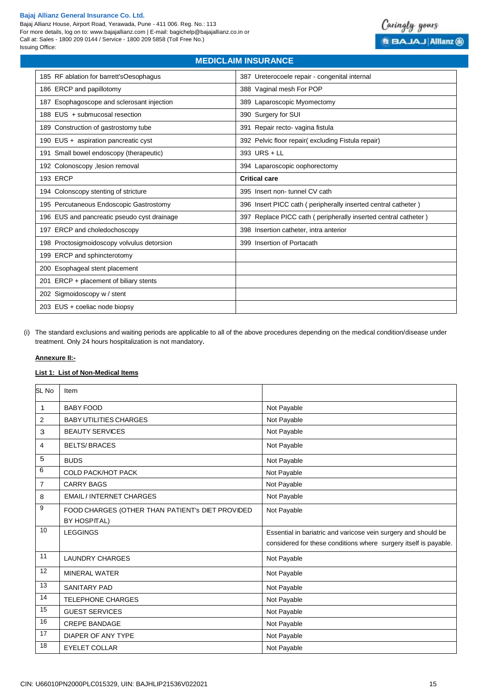Bajaj Allianz House, Airport Road, Yerawada, Pune - 411 006. Reg. No.: 113 For more details, log on to: www.bajajallianz.com | E-mail: bagichelp@bajajallianz.co.in or Call at: Sales - 1800 209 0144 / Service - 1800 209 5858 (Toll Free No.) Issuing Office:



# **MEDICLAIM INSURANCE**  185 RF ablation for barrett'sOesophagus 387 Ureterocoele repair - congenital internal 186 ERCP and papillotomy and the state of the state of the state of the San San San San San San San San San Sa 187 Esophagoscope and sclerosant injection **189 Laparoscopic Myomectomy** 188 EUS + submucosal resection 390 Surgery for SUI 189 Construction of gastrostomy tube 391 Repair recto- vagina fistula 190 EUS + aspiration pancreatic cyst 392 Pelvic floor repair( excluding Fistula repair) 191 Small bowel endoscopy (therapeutic) 393 URS + LL 192 Colonoscopy ,lesion removal 394 Laparoscopic oophorectomy 193 ERCP **Critical care** 194 Colonscopy stenting of stricture 395 Insert non- tunnel CV cath 195 Percutaneous Endoscopic Gastrostomy 396 Insert PICC cath ( peripherally inserted central catheter ) 196 EUS and pancreatic pseudo cyst drainage 397 Replace PICC cath ( peripherally inserted central catheter ) 197 ERCP and choledochoscopy 398 Insertion catheter, intra anterior 198 Proctosigmoidoscopy volvulus detorsion 399 Insertion of Portacath 199 ERCP and sphincterotomy 200 Esophageal stent placement 201 ERCP + placement of biliary stents 202 Sigmoidoscopy w / stent 203 EUS + coeliac node biopsy

(i) The standard exclusions and waiting periods are applicable to all of the above procedures depending on the medical condition/disease under treatment. Only 24 hours hospitalization is not mandatory.

## **Annexure II:-**

## **List 1: List of Non-Medical Items**

| SL No          | Item                                             |                                                                  |
|----------------|--------------------------------------------------|------------------------------------------------------------------|
| 1              | <b>BABY FOOD</b>                                 | Not Payable                                                      |
| 2              | <b>BABY UTILITIES CHARGES</b>                    | Not Payable                                                      |
| 3              | <b>BEAUTY SERVICES</b>                           | Not Payable                                                      |
| 4              | <b>BELTS/BRACES</b>                              | Not Payable                                                      |
| 5              | <b>BUDS</b>                                      | Not Payable                                                      |
| 6              | <b>COLD PACK/HOT PACK</b>                        | Not Payable                                                      |
| $\overline{7}$ | <b>CARRY BAGS</b>                                | Not Payable                                                      |
| 8              | <b>EMAIL / INTERNET CHARGES</b>                  | Not Payable                                                      |
| 9              | FOOD CHARGES (OTHER THAN PATIENT's DIET PROVIDED | Not Payable                                                      |
|                | <b>BY HOSPITAL)</b>                              |                                                                  |
| 10             | <b>LEGGINGS</b>                                  | Essential in bariatric and varicose vein surgery and should be   |
|                |                                                  | considered for these conditions where surgery itself is payable. |
| 11             | <b>LAUNDRY CHARGES</b>                           | Not Payable                                                      |
| 12             | <b>MINERAL WATER</b>                             | Not Payable                                                      |
| 13             | <b>SANITARY PAD</b>                              | Not Payable                                                      |
| 14             | <b>TELEPHONE CHARGES</b>                         | Not Payable                                                      |
| 15             | <b>GUEST SERVICES</b>                            | Not Payable                                                      |
| 16             | <b>CREPE BANDAGE</b>                             | Not Payable                                                      |
| 17             | DIAPER OF ANY TYPE                               | Not Payable                                                      |
| 18             | <b>EYELET COLLAR</b>                             | Not Payable                                                      |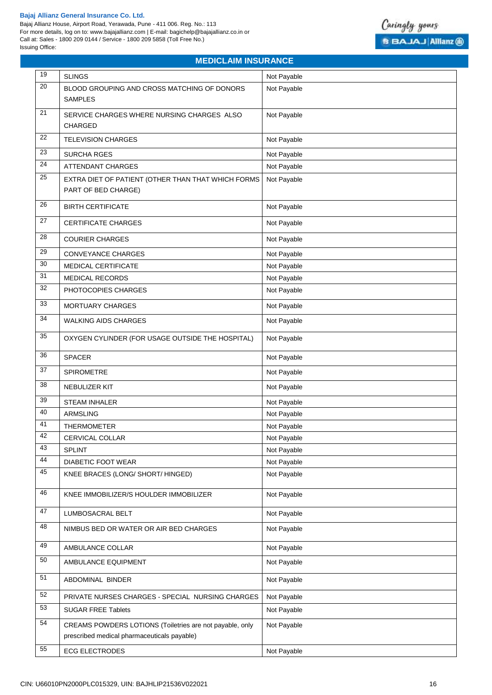Bajaj Allianz House, Airport Road, Yerawada, Pune - 411 006. Reg. No.: 113 For more details, log on to: www.bajajallianz.com | E-mail: bagichelp@bajajallianz.co.in or Call at: Sales - 1800 209 0144 / Service - 1800 209 5858 (Toll Free No.) Issuing Office:



|                 | <b>MEDICLAIM INSURANCE</b>                                                                              |             |  |
|-----------------|---------------------------------------------------------------------------------------------------------|-------------|--|
| 19              | <b>SLINGS</b>                                                                                           | Not Payable |  |
| 20              | BLOOD GROUPING AND CROSS MATCHING OF DONORS                                                             | Not Payable |  |
|                 | <b>SAMPLES</b>                                                                                          |             |  |
| 21              | SERVICE CHARGES WHERE NURSING CHARGES ALSO                                                              | Not Payable |  |
|                 | <b>CHARGED</b>                                                                                          |             |  |
| 22              | <b>TELEVISION CHARGES</b>                                                                               | Not Payable |  |
| 23              | <b>SURCHA RGES</b>                                                                                      | Not Payable |  |
| 24              | <b>ATTENDANT CHARGES</b>                                                                                | Not Payable |  |
| $\overline{25}$ | EXTRA DIET OF PATIENT (OTHER THAN THAT WHICH FORMS                                                      | Not Payable |  |
|                 | PART OF BED CHARGE)                                                                                     |             |  |
| 26              | <b>BIRTH CERTIFICATE</b>                                                                                | Not Payable |  |
| 27              | <b>CERTIFICATE CHARGES</b>                                                                              | Not Payable |  |
| 28              | <b>COURIER CHARGES</b>                                                                                  | Not Payable |  |
| 29              | CONVEYANCE CHARGES                                                                                      | Not Payable |  |
| 30              | MEDICAL CERTIFICATE                                                                                     | Not Payable |  |
| 31              | <b>MEDICAL RECORDS</b>                                                                                  | Not Payable |  |
| 32              | PHOTOCOPIES CHARGES                                                                                     | Not Payable |  |
| 33              | MORTUARY CHARGES                                                                                        | Not Payable |  |
| 34              | <b>WALKING AIDS CHARGES</b>                                                                             | Not Payable |  |
| 35              | OXYGEN CYLINDER (FOR USAGE OUTSIDE THE HOSPITAL)                                                        | Not Payable |  |
| 36              | <b>SPACER</b>                                                                                           | Not Payable |  |
| 37              | <b>SPIROMETRE</b>                                                                                       | Not Payable |  |
| 38              | NEBULIZER KIT                                                                                           | Not Payable |  |
| 39              | <b>STEAM INHALER</b>                                                                                    | Not Payable |  |
| 40              | <b>ARMSLING</b>                                                                                         | Not Payable |  |
| 41              | THERMOMETER                                                                                             | Not Payable |  |
| 42              | CERVICAL COLLAR                                                                                         | Not Payable |  |
| 43              | SPLINT                                                                                                  | Not Payable |  |
| 44              | DIABETIC FOOT WEAR                                                                                      | Not Payable |  |
| 45              | KNEE BRACES (LONG/ SHORT/ HINGED)                                                                       | Not Payable |  |
| 46              | KNEE IMMOBILIZER/S HOULDER IMMOBILIZER                                                                  | Not Payable |  |
| 47              | LUMBOSACRAL BELT                                                                                        | Not Payable |  |
| 48              | NIMBUS BED OR WATER OR AIR BED CHARGES                                                                  | Not Payable |  |
| 49              | AMBULANCE COLLAR                                                                                        | Not Payable |  |
| 50              | AMBULANCE EQUIPMENT                                                                                     | Not Payable |  |
| 51              | ABDOMINAL BINDER                                                                                        | Not Payable |  |
| 52              | PRIVATE NURSES CHARGES - SPECIAL NURSING CHARGES                                                        | Not Payable |  |
| 53              | <b>SUGAR FREE Tablets</b>                                                                               | Not Payable |  |
| 54              | CREAMS POWDERS LOTIONS (Toiletries are not payable, only<br>prescribed medical pharmaceuticals payable) | Not Payable |  |
| 55              | <b>ECG ELECTRODES</b>                                                                                   | Not Payable |  |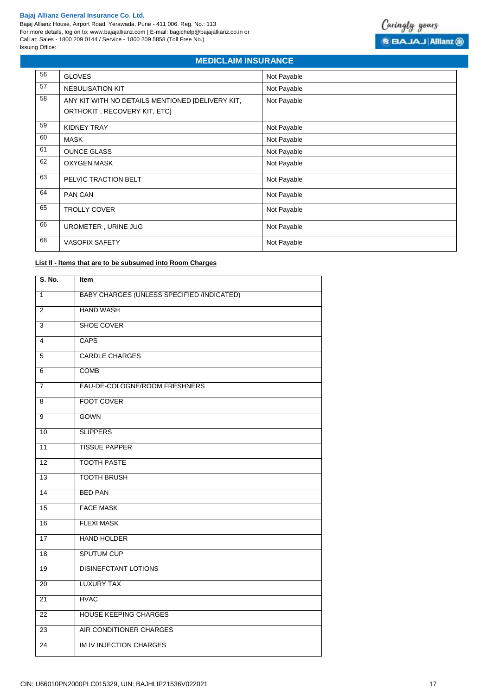Bajaj Allianz House, Airport Road, Yerawada, Pune - 411 006. Reg. No.: 113 For more details, log on to: www.bajajallianz.com | E-mail: bagichelp@bajajallianz.co.in or Call at: Sales - 1800 209 0144 / Service - 1800 209 5858 (Toll Free No.) Issuing Office:



# **MEDICLAIM INSURANCE**

| 56 | <b>GLOVES</b>                                                                    | Not Payable |
|----|----------------------------------------------------------------------------------|-------------|
| 57 | <b>NEBULISATION KIT</b>                                                          | Not Payable |
| 58 | ANY KIT WITH NO DETAILS MENTIONED [DELIVERY KIT,<br>ORTHOKIT, RECOVERY KIT, ETC] | Not Payable |
| 59 | KIDNEY TRAY                                                                      | Not Payable |
| 60 | <b>MASK</b>                                                                      | Not Payable |
| 61 | <b>OUNCE GLASS</b>                                                               | Not Payable |
| 62 | <b>OXYGEN MASK</b>                                                               | Not Payable |
| 63 | PELVIC TRACTION BELT                                                             | Not Payable |
| 64 | PAN CAN                                                                          | Not Payable |
| 65 | <b>TROLLY COVER</b>                                                              | Not Payable |
| 66 | UROMETER, URINE JUG                                                              | Not Payable |
| 68 | <b>VASOFIX SAFETY</b>                                                            | Not Payable |

## **List ll - ltems that are to be subsumed into Room Charges**

| S. No.          | Item                                       |
|-----------------|--------------------------------------------|
| $\mathbf{1}$    | BABY CHARGES (UNLESS SPECIFIED /INDICATED) |
| 2               | <b>HAND WASH</b>                           |
| 3               | <b>SHOE COVER</b>                          |
| $\overline{4}$  | <b>CAPS</b>                                |
| 5               | <b>CARDLE CHARGES</b>                      |
| 6               | <b>COMB</b>                                |
| $\overline{7}$  | EAU-DE-COLOGNE/ROOM FRESHNERS              |
| 8               | <b>FOOT COVER</b>                          |
| 9               | <b>GOWN</b>                                |
| 10              | <b>SLIPPERS</b>                            |
| 11              | <b>TISSUE PAPPER</b>                       |
| 12              | <b>TOOTH PASTE</b>                         |
| $\overline{13}$ | <b>TOOTH BRUSH</b>                         |
| 14              | <b>BED PAN</b>                             |
| 15              | <b>FACE MASK</b>                           |
| 16              | <b>FLEXI MASK</b>                          |
| 17              | <b>HAND HOLDER</b>                         |
| 18              | <b>SPUTUM CUP</b>                          |
| 19              | <b>DISINEFCTANT LOTIONS</b>                |
| 20              | <b>LUXURY TAX</b>                          |
| 21              | <b>HVAC</b>                                |
| 22              | <b>HOUSE KEEPING CHARGES</b>               |
| 23              | AIR CONDITIONER CHARGES                    |
| 24              | <b>IM IV INJECTION CHARGES</b>             |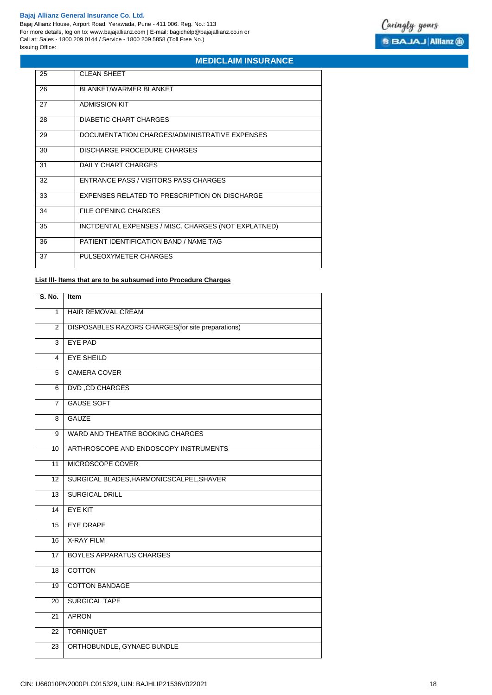Bajaj Allianz House, Airport Road, Yerawada, Pune - 411 006. Reg. No.: 113 For more details, log on to: www.bajajallianz.com | E-mail: bagichelp@bajajallianz.co.in or Call at: Sales - 1800 209 0144 / Service - 1800 209 5858 (Toll Free No.) Issuing Office:



# **MEDICLAIM INSURANCE**

| 25 | <b>CLEAN SHEET</b>                                  |
|----|-----------------------------------------------------|
| 26 | BLANKET/WARMER BLANKET                              |
| 27 | <b>ADMISSION KIT</b>                                |
| 28 | DIABETIC CHART CHARGES                              |
| 29 | DOCUMENTATION CHARGES/ADMINISTRATIVE EXPENSES       |
| 30 | DISCHARGE PROCEDURE CHARGES                         |
| 31 | DAILY CHART CHARGES                                 |
| 32 | ENTRANCE PASS / VISITORS PASS CHARGES               |
| 33 | EXPENSES RELATED TO PRESCRIPTION ON DISCHARGE       |
| 34 | FILE OPENING CHARGES                                |
| 35 | INCTDENTAL EXPENSES / MtSC. CHARGES (NOT EXPLATNED) |
| 36 | PATIENT IDENTIFICATION BAND / NAME TAG              |
| 37 | PULSEOXYMETER CHARGES                               |

## **List lll- ltems that are to be subsumed into Procedure Charges**

| S. No.          | <b>Item</b>                                        |
|-----------------|----------------------------------------------------|
| $\mathbf{1}$    | <b>HAIR REMOVAL CREAM</b>                          |
| 2               | DISPOSABLES RAZORS CHARGES (for site preparations) |
| $\overline{3}$  | <b>EYE PAD</b>                                     |
| 4               | <b>EYE SHEILD</b>                                  |
| 5               | <b>CAMERA COVER</b>                                |
| 6               | <b>DVD, CD CHARGES</b>                             |
| $\overline{7}$  | <b>GAUSE SOFT</b>                                  |
| 8               | <b>GAUZE</b>                                       |
| 9               | WARD AND THEATRE BOOKING CHARGES                   |
| $\overline{10}$ | ARTHROSCOPE AND ENDOSCOPY INSTRUMENTS              |
| 11              | MICROSCOPE COVER                                   |
| 12              | SURGICAL BLADES, HARMONICSCALPEL, SHAVER           |
| $\overline{13}$ | <b>SURGICAL DRILL</b>                              |
| 14              | <b>EYE KIT</b>                                     |
| $\overline{15}$ | <b>EYE DRAPE</b>                                   |
| 16              | <b>X-RAY FILM</b>                                  |
| 17              | <b>BOYLES APPARATUS CHARGES</b>                    |
| $\overline{18}$ | <b>COTTON</b>                                      |
| $\overline{19}$ | <b>COTTON BANDAGE</b>                              |
| $\overline{20}$ | <b>SURGICAL TAPE</b>                               |
| $\overline{21}$ | <b>APRON</b>                                       |
| $\overline{22}$ | <b>TORNIQUET</b>                                   |
| 23              | ORTHOBUNDLE, GYNAEC BUNDLE                         |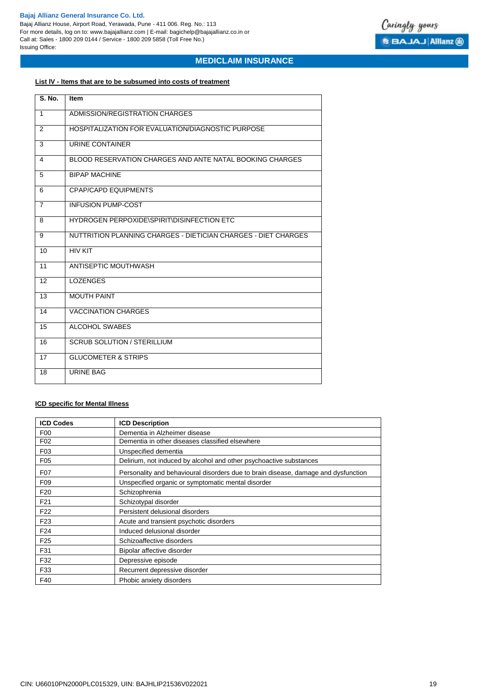Bajaj Allianz House, Airport Road, Yerawada, Pune - 411 006. Reg. No.: 113 For more details, log on to: www.bajajallianz.com | E-mail: bagichelp@bajajallianz.co.in or Call at: Sales - 1800 209 0144 / Service - 1800 209 5858 (Toll Free No.) Issuing Office:



## **MEDICLAIM INSURANCE**

# **List lV - ltems that are to be subsumed into costs of treatment**

| <b>S. No.</b>  | <b>Item</b>                                                    |
|----------------|----------------------------------------------------------------|
| $\mathbf{1}$   | ADMISSION/REGISTRATION CHARGES                                 |
| 2              | HOSPITALIZATION FOR EVALUATION/DIAGNOSTIC PURPOSE              |
| 3              | URINE CONTAINER                                                |
| 4              | BLOOD RESERVATION CHARGES AND ANTE NATAL BOOKING CHARGES       |
| 5              | <b>BIPAP MACHINE</b>                                           |
| 6              | <b>CPAP/CAPD EQUIPMENTS</b>                                    |
| $\overline{7}$ | <b>INFUSION PUMP-COST</b>                                      |
| 8              | HYDROGEN PERPOXIDE\SPIRIT\DISINFECTION ETC                     |
| 9              | NUTTRITION PLANNING CHARGES - DIETICIAN CHARGES - DIET CHARGES |
| 10             | <b>HIV KIT</b>                                                 |
| 11             | ANTISEPTIC MOUTHWASH                                           |
| 12             | <b>LOZENGES</b>                                                |
| 13             | <b>MOUTH PAINT</b>                                             |
| 14             | <b>VACCINATION CHARGES</b>                                     |
| 15             | <b>ALCOHOL SWABES</b>                                          |
| 16             | <b>SCRUB SOLUTION / STERILLIUM</b>                             |
| 17             | <b>GLUCOMETER &amp; STRIPS</b>                                 |
| 18             | <b>URINE BAG</b>                                               |

## **ICD specific for Mental Illness**

| <b>ICD Codes</b> | <b>ICD Description</b>                                                             |
|------------------|------------------------------------------------------------------------------------|
| F <sub>0</sub>   | Dementia in Alzheimer disease                                                      |
| F <sub>02</sub>  | Dementia in other diseases classified elsewhere                                    |
| F <sub>0</sub> 3 | Unspecified dementia                                                               |
| F <sub>05</sub>  | Delirium, not induced by alcohol and other psychoactive substances                 |
| F07              | Personality and behavioural disorders due to brain disease, damage and dysfunction |
| F <sub>09</sub>  | Unspecified organic or symptomatic mental disorder                                 |
| F <sub>20</sub>  | Schizophrenia                                                                      |
| F <sub>21</sub>  | Schizotypal disorder                                                               |
| F <sub>22</sub>  | Persistent delusional disorders                                                    |
| F <sub>23</sub>  | Acute and transient psychotic disorders                                            |
| F <sub>24</sub>  | Induced delusional disorder                                                        |
| F <sub>25</sub>  | Schizoaffective disorders                                                          |
| F31              | Bipolar affective disorder                                                         |
| F32              | Depressive episode                                                                 |
| F33              | Recurrent depressive disorder                                                      |
| F40              | Phobic anxiety disorders                                                           |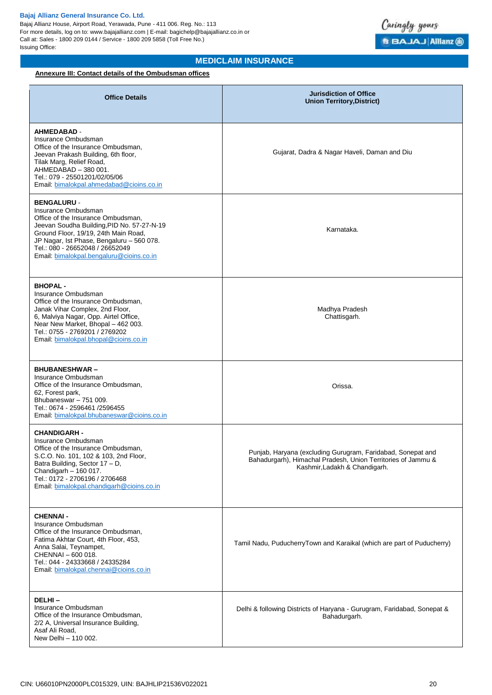

# **MEDICLAIM INSURANCE**

## **Annexure III: Contact details of the Ombudsman offices**

| <b>Office Details</b>                                                                                                                                                                                                                                                                             | <b>Jurisdiction of Office</b><br><b>Union Territory, District)</b>                                                                                           |
|---------------------------------------------------------------------------------------------------------------------------------------------------------------------------------------------------------------------------------------------------------------------------------------------------|--------------------------------------------------------------------------------------------------------------------------------------------------------------|
| <b>AHMEDABAD -</b><br>Insurance Ombudsman<br>Office of the Insurance Ombudsman,<br>Jeevan Prakash Building, 6th floor,<br>Tilak Marg, Relief Road,<br>AHMEDABAD - 380 001.<br>Tel.: 079 - 25501201/02/05/06<br>Email: bimalokpal.ahmedabad@cioins.co.in                                           | Gujarat, Dadra & Nagar Haveli, Daman and Diu                                                                                                                 |
| <b>BENGALURU -</b><br>Insurance Ombudsman<br>Office of the Insurance Ombudsman,<br>Jeevan Soudha Building, PID No. 57-27-N-19<br>Ground Floor, 19/19, 24th Main Road,<br>JP Nagar, Ist Phase, Bengaluru - 560 078.<br>Tel.: 080 - 26652048 / 26652049<br>Email: bimalokpal.bengaluru@cioins.co.in | Karnataka.                                                                                                                                                   |
| <b>BHOPAL-</b><br>Insurance Ombudsman<br>Office of the Insurance Ombudsman.<br>Janak Vihar Complex, 2nd Floor,<br>6, Malviya Nagar, Opp. Airtel Office,<br>Near New Market, Bhopal - 462 003.<br>Tel.: 0755 - 2769201 / 2769202<br>Email: bimalokpal.bhopal@cioins.co.in                          | Madhya Pradesh<br>Chattisgarh.                                                                                                                               |
| <b>BHUBANESHWAR-</b><br>Insurance Ombudsman<br>Office of the Insurance Ombudsman,<br>62, Forest park,<br>Bhubaneswar - 751 009.<br>Tel.: 0674 - 2596461 /2596455<br>Email: bimalokpal.bhubaneswar@cioins.co.in                                                                                    | Orissa.                                                                                                                                                      |
| <b>CHANDIGARH -</b><br>Insurance Ombudsman<br>Office of the Insurance Ombudsman,<br>S.C.O. No. 101, 102 & 103, 2nd Floor,<br>Batra Building, Sector 17 - D,<br>Chandigarh $-$ 160 017.<br>Tel.: 0172 - 2706196 / 2706468<br>Email: bimalokpal.chandigarh@cioins.co.in                             | Punjab, Haryana (excluding Gurugram, Faridabad, Sonepat and<br>Bahadurgarh), Himachal Pradesh, Union Territories of Jammu &<br>Kashmir, Ladakh & Chandigarh. |
| <b>CHENNAI-</b><br>Insurance Ombudsman<br>Office of the Insurance Ombudsman,<br>Fatima Akhtar Court, 4th Floor, 453,<br>Anna Salai, Teynampet,<br>CHENNAI - 600 018.<br>Tel.: 044 - 24333668 / 24335284<br>Email: bimalokpal.chennai@cioins.co.in                                                 | Tamil Nadu, PuducherryTown and Karaikal (which are part of Puducherry)                                                                                       |
| DELHI-<br>Insurance Ombudsman<br>Office of the Insurance Ombudsman,<br>2/2 A, Universal Insurance Building,<br>Asaf Ali Road,<br>New Delhi - 110 002.                                                                                                                                             | Delhi & following Districts of Haryana - Gurugram, Faridabad, Sonepat &<br>Bahadurgarh.                                                                      |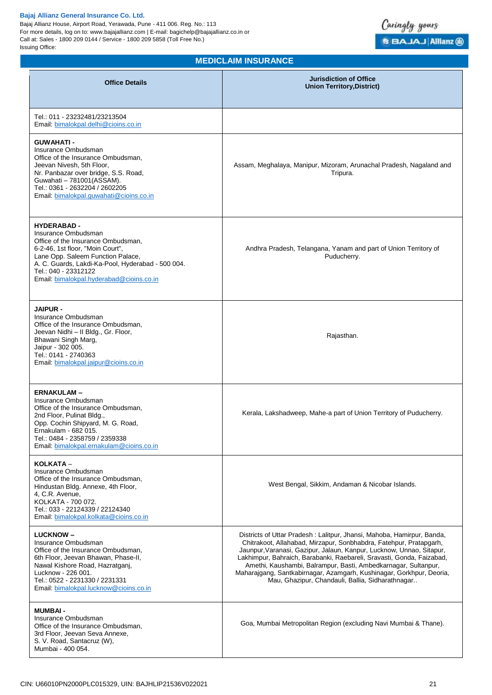Bajaj Allianz House, Airport Road, Yerawada, Pune - 411 006. Reg. No.: 113 For more details, log on to: www.bajajallianz.com | E-mail: bagichelp@bajajallianz.co.in or Call at: Sales - 1800 209 0144 / Service - 1800 209 5858 (Toll Free No.) Issuing Office:



| <b>Office Details</b>                                                                                                                                                                                                                                                             | <b>Jurisdiction of Office</b><br><b>Union Territory, District)</b>                                                                                                                                                                                                                                                                                                                                                                                                                          |
|-----------------------------------------------------------------------------------------------------------------------------------------------------------------------------------------------------------------------------------------------------------------------------------|---------------------------------------------------------------------------------------------------------------------------------------------------------------------------------------------------------------------------------------------------------------------------------------------------------------------------------------------------------------------------------------------------------------------------------------------------------------------------------------------|
| Tel.: 011 - 23232481/23213504<br>Email: bimalokpal.delhi@cioins.co.in                                                                                                                                                                                                             |                                                                                                                                                                                                                                                                                                                                                                                                                                                                                             |
| <b>GUWAHATI-</b><br>Insurance Ombudsman<br>Office of the Insurance Ombudsman,<br>Jeevan Nivesh, 5th Floor,<br>Nr. Panbazar over bridge, S.S. Road,<br>Guwahati - 781001(ASSAM).<br>Tel.: 0361 - 2632204 / 2602205<br>Email: bimalokpal.guwahati@cioins.co.in                      | Assam, Meghalaya, Manipur, Mizoram, Arunachal Pradesh, Nagaland and<br>Tripura.                                                                                                                                                                                                                                                                                                                                                                                                             |
| <b>HYDERABAD -</b><br>Insurance Ombudsman<br>Office of the Insurance Ombudsman,<br>6-2-46, 1st floor, "Moin Court",<br>Lane Opp. Saleem Function Palace,<br>A. C. Guards, Lakdi-Ka-Pool, Hyderabad - 500 004.<br>Tel.: 040 - 23312122<br>Email: bimalokpal.hyderabad@cioins.co.in | Andhra Pradesh, Telangana, Yanam and part of Union Territory of<br>Puducherry.                                                                                                                                                                                                                                                                                                                                                                                                              |
| <b>JAIPUR -</b><br>Insurance Ombudsman<br>Office of the Insurance Ombudsman,<br>Jeevan Nidhi - II Bldg., Gr. Floor,<br>Bhawani Singh Marg,<br>Jaipur - 302 005.<br>Tel.: 0141 - 2740363<br>Email: bimalokpal.jaipur@cioins.co.in                                                  | Rajasthan.                                                                                                                                                                                                                                                                                                                                                                                                                                                                                  |
| <b>ERNAKULAM-</b><br>Insurance Ombudsman<br>Office of the Insurance Ombudsman,<br>2nd Floor, Pulinat Bldg.,<br>Opp. Cochin Shipyard, M. G. Road,<br>Ernakulam - 682 015.<br>Tel.: 0484 - 2358759 / 2359338<br>Email: bimalokpal.ernakulam@cioins.co.in                            | Kerala, Lakshadweep, Mahe-a part of Union Territory of Puducherry.                                                                                                                                                                                                                                                                                                                                                                                                                          |
| KOLKATA -<br>Insurance Ombudsman<br>Office of the Insurance Ombudsman,<br>Hindustan Bldg. Annexe, 4th Floor,<br>4, C.R. Avenue,<br>KOLKATA - 700 072.<br>Tel.: 033 - 22124339 / 22124340<br>Email, bimalokpal, kolkata@cioins.co.in                                               | West Bengal, Sikkim, Andaman & Nicobar Islands.                                                                                                                                                                                                                                                                                                                                                                                                                                             |
| <b>LUCKNOW-</b><br>Insurance Ombudsman<br>Office of the Insurance Ombudsman,<br>6th Floor, Jeevan Bhawan, Phase-II,<br>Nawal Kishore Road, Hazratganj,<br>Lucknow - 226 001.<br>Tel.: 0522 - 2231330 / 2231331<br>Email: bimalokpal.lucknow@cioins.co.in                          | Districts of Uttar Pradesh: Lalitpur, Jhansi, Mahoba, Hamirpur, Banda,<br>Chitrakoot, Allahabad, Mirzapur, Sonbhabdra, Fatehpur, Pratapgarh,<br>Jaunpur, Varanasi, Gazipur, Jalaun, Kanpur, Lucknow, Unnao, Sitapur,<br>Lakhimpur, Bahraich, Barabanki, Raebareli, Sravasti, Gonda, Faizabad,<br>Amethi, Kaushambi, Balrampur, Basti, Ambedkarnagar, Sultanpur,<br>Maharajgang, Santkabirnagar, Azamgarh, Kushinagar, Gorkhpur, Deoria,<br>Mau, Ghazipur, Chandauli, Ballia, Sidharathnagar |
| <b>MUMBAI-</b><br>Insurance Ombudsman<br>Office of the Insurance Ombudsman,<br>3rd Floor, Jeevan Seva Annexe,<br>S. V. Road, Santacruz (W),<br>Mumbai - 400 054.                                                                                                                  | Goa, Mumbai Metropolitan Region (excluding Navi Mumbai & Thane).                                                                                                                                                                                                                                                                                                                                                                                                                            |